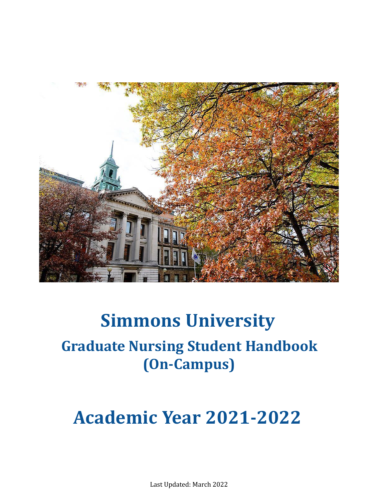

# **Simmons University Graduate Nursing Student Handbook (On-Campus)**

# **Academic Year 2021-2022**

Last Updated: March 2022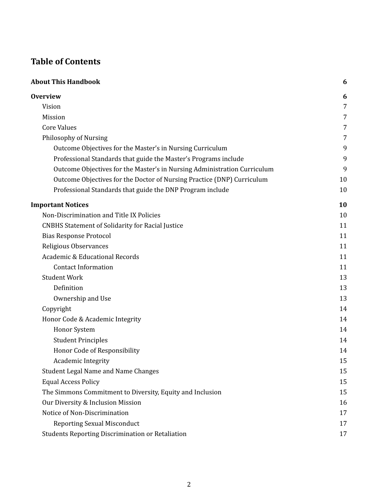# **Table of Contents**

| <b>About This Handbook</b>                                               | 6  |
|--------------------------------------------------------------------------|----|
| <b>Overview</b>                                                          | 6  |
| Vision                                                                   | 7  |
| Mission                                                                  | 7  |
| <b>Core Values</b>                                                       | 7  |
| Philosophy of Nursing                                                    | 7  |
| Outcome Objectives for the Master's in Nursing Curriculum                | 9  |
| Professional Standards that guide the Master's Programs include          | 9  |
| Outcome Objectives for the Master's in Nursing Administration Curriculum | 9  |
| Outcome Objectives for the Doctor of Nursing Practice (DNP) Curriculum   | 10 |
| Professional Standards that guide the DNP Program include                | 10 |
| <b>Important Notices</b>                                                 | 10 |
| Non-Discrimination and Title IX Policies                                 | 10 |
| <b>CNBHS Statement of Solidarity for Racial Justice</b>                  | 11 |
| <b>Bias Response Protocol</b>                                            | 11 |
| Religious Observances                                                    | 11 |
| <b>Academic &amp; Educational Records</b>                                | 11 |
| <b>Contact Information</b>                                               | 11 |
| <b>Student Work</b>                                                      | 13 |
| Definition                                                               | 13 |
| Ownership and Use                                                        | 13 |
| Copyright                                                                | 14 |
| Honor Code & Academic Integrity                                          | 14 |
| <b>Honor System</b>                                                      | 14 |
| <b>Student Principles</b>                                                | 14 |
| Honor Code of Responsibility                                             | 14 |
| Academic Integrity                                                       | 15 |
| <b>Student Legal Name and Name Changes</b>                               | 15 |
| <b>Equal Access Policy</b>                                               | 15 |
| The Simmons Commitment to Diversity, Equity and Inclusion                | 15 |
| Our Diversity & Inclusion Mission                                        | 16 |
| Notice of Non-Discrimination                                             | 17 |
| <b>Reporting Sexual Misconduct</b>                                       | 17 |
| <b>Students Reporting Discrimination or Retaliation</b>                  | 17 |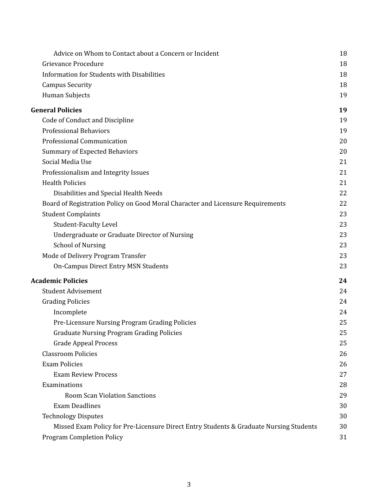| Advice on Whom to Contact about a Concern or Incident                                  | 18 |
|----------------------------------------------------------------------------------------|----|
| Grievance Procedure                                                                    | 18 |
| <b>Information for Students with Disabilities</b>                                      | 18 |
| <b>Campus Security</b>                                                                 | 18 |
| Human Subjects                                                                         | 19 |
| <b>General Policies</b>                                                                | 19 |
| Code of Conduct and Discipline                                                         | 19 |
| <b>Professional Behaviors</b>                                                          | 19 |
| Professional Communication                                                             | 20 |
| <b>Summary of Expected Behaviors</b>                                                   | 20 |
| Social Media Use                                                                       | 21 |
| Professionalism and Integrity Issues                                                   | 21 |
| <b>Health Policies</b>                                                                 | 21 |
| Disabilities and Special Health Needs                                                  | 22 |
| Board of Registration Policy on Good Moral Character and Licensure Requirements        | 22 |
| <b>Student Complaints</b>                                                              | 23 |
| <b>Student-Faculty Level</b>                                                           | 23 |
| Undergraduate or Graduate Director of Nursing                                          | 23 |
| <b>School of Nursing</b>                                                               | 23 |
| Mode of Delivery Program Transfer                                                      | 23 |
| <b>On-Campus Direct Entry MSN Students</b>                                             | 23 |
| <b>Academic Policies</b>                                                               | 24 |
| <b>Student Advisement</b>                                                              | 24 |
| <b>Grading Policies</b>                                                                | 24 |
| Incomplete                                                                             | 24 |
| Pre-Licensure Nursing Program Grading Policies                                         | 25 |
| <b>Graduate Nursing Program Grading Policies</b>                                       | 25 |
| <b>Grade Appeal Process</b>                                                            | 25 |
| <b>Classroom Policies</b>                                                              | 26 |
| <b>Exam Policies</b>                                                                   | 26 |
| <b>Exam Review Process</b>                                                             | 27 |
| Examinations                                                                           | 28 |
| <b>Room Scan Violation Sanctions</b>                                                   | 29 |
| <b>Exam Deadlines</b>                                                                  | 30 |
| <b>Technology Disputes</b>                                                             | 30 |
| Missed Exam Policy for Pre-Licensure Direct Entry Students & Graduate Nursing Students | 30 |
| <b>Program Completion Policy</b>                                                       | 31 |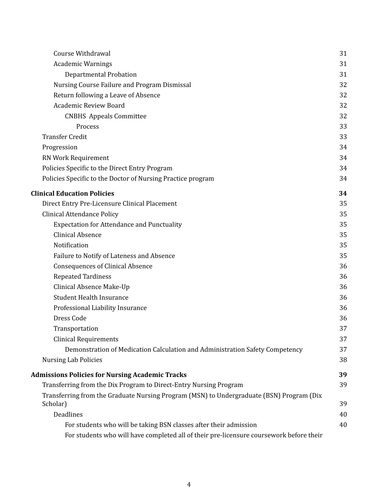| Course Withdrawal                                                                                    | 31 |
|------------------------------------------------------------------------------------------------------|----|
| <b>Academic Warnings</b>                                                                             | 31 |
| <b>Departmental Probation</b>                                                                        | 31 |
| Nursing Course Failure and Program Dismissal                                                         | 32 |
| Return following a Leave of Absence                                                                  | 32 |
| Academic Review Board                                                                                | 32 |
| <b>CNBHS</b> Appeals Committee                                                                       | 32 |
| Process                                                                                              | 33 |
| <b>Transfer Credit</b>                                                                               | 33 |
| Progression                                                                                          | 34 |
| RN Work Requirement                                                                                  | 34 |
| Policies Specific to the Direct Entry Program                                                        | 34 |
| Policies Specific to the Doctor of Nursing Practice program                                          | 34 |
| <b>Clinical Education Policies</b>                                                                   | 34 |
| Direct Entry Pre-Licensure Clinical Placement                                                        | 35 |
| <b>Clinical Attendance Policy</b>                                                                    | 35 |
| <b>Expectation for Attendance and Punctuality</b>                                                    | 35 |
| <b>Clinical Absence</b>                                                                              | 35 |
| Notification                                                                                         | 35 |
| Failure to Notify of Lateness and Absence                                                            | 35 |
| <b>Consequences of Clinical Absence</b>                                                              | 36 |
| <b>Repeated Tardiness</b>                                                                            | 36 |
| Clinical Absence Make-Up                                                                             | 36 |
| <b>Student Health Insurance</b>                                                                      | 36 |
| Professional Liability Insurance                                                                     | 36 |
| Dress Code                                                                                           | 36 |
| Transportation                                                                                       | 37 |
| <b>Clinical Requirements</b>                                                                         | 37 |
| Demonstration of Medication Calculation and Administration Safety Competency                         | 37 |
| <b>Nursing Lab Policies</b>                                                                          | 38 |
| <b>Admissions Policies for Nursing Academic Tracks</b>                                               | 39 |
| Transferring from the Dix Program to Direct-Entry Nursing Program                                    | 39 |
| Transferring from the Graduate Nursing Program (MSN) to Undergraduate (BSN) Program (Dix<br>Scholar) | 39 |
| Deadlines                                                                                            | 40 |
| For students who will be taking BSN classes after their admission                                    | 40 |
| For students who will have completed all of their pre-licensure coursework before their              |    |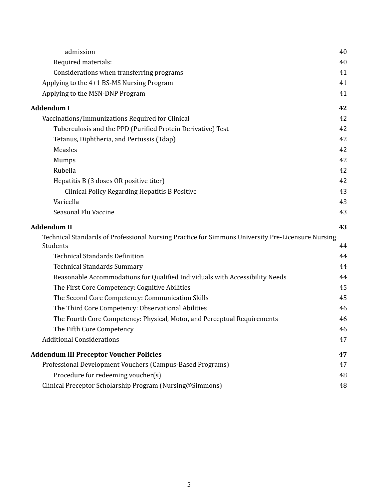| admission                                                                                         | 40 |
|---------------------------------------------------------------------------------------------------|----|
| Required materials:                                                                               | 40 |
| Considerations when transferring programs                                                         | 41 |
| Applying to the 4+1 BS-MS Nursing Program                                                         | 41 |
| Applying to the MSN-DNP Program                                                                   | 41 |
| <b>Addendum I</b>                                                                                 | 42 |
| Vaccinations/Immunizations Required for Clinical                                                  | 42 |
| Tuberculosis and the PPD (Purified Protein Derivative) Test                                       | 42 |
| Tetanus, Diphtheria, and Pertussis (Tdap)                                                         | 42 |
| Measles                                                                                           | 42 |
| Mumps                                                                                             | 42 |
| Rubella                                                                                           | 42 |
| Hepatitis B (3 doses OR positive titer)                                                           | 42 |
| <b>Clinical Policy Regarding Hepatitis B Positive</b>                                             | 43 |
| Varicella                                                                                         | 43 |
| Seasonal Flu Vaccine                                                                              | 43 |
|                                                                                                   |    |
| <b>Addendum II</b>                                                                                | 43 |
| Technical Standards of Professional Nursing Practice for Simmons University Pre-Licensure Nursing |    |
| Students                                                                                          | 44 |
| <b>Technical Standards Definition</b>                                                             | 44 |
| <b>Technical Standards Summary</b>                                                                | 44 |
| Reasonable Accommodations for Qualified Individuals with Accessibility Needs                      | 44 |
| The First Core Competency: Cognitive Abilities                                                    | 45 |
| The Second Core Competency: Communication Skills                                                  | 45 |
| The Third Core Competency: Observational Abilities                                                | 46 |
| The Fourth Core Competency: Physical, Motor, and Perceptual Requirements                          | 46 |
| The Fifth Core Competency                                                                         | 46 |
| <b>Additional Considerations</b>                                                                  | 47 |
| <b>Addendum III Preceptor Voucher Policies</b>                                                    | 47 |
| Professional Development Vouchers (Campus-Based Programs)                                         | 47 |
| Procedure for redeeming voucher(s)<br>Clinical Preceptor Scholarship Program (Nursing@Simmons)    | 48 |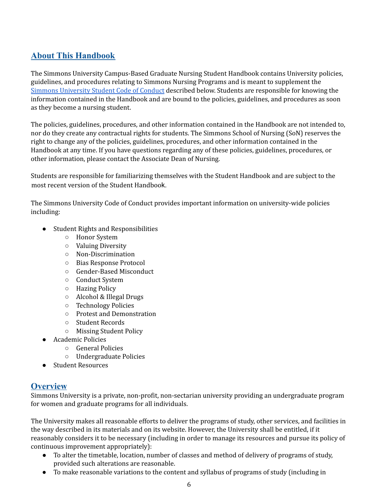# <span id="page-5-0"></span> **About This Handbook**

 The Simmons University Campus-Based Graduate Nursing Student Handbook contains University policies, guidelines, and procedures relating to Simmons Nursing Programs and is meant to supplement the Simmons [University](http://www2.simmons.edu/documents/students/Simmons-University-Code-of-Conduct.pdf) Student Code of Conduct described below. Students are responsible for knowing the information contained in the Handbook and are bound to the policies, guidelines, and procedures as soon as they become a nursing student.

 The policies, guidelines, procedures, and other information contained in the Handbook are not intended to, nor do they create any contractual rights for students. The Simmons School of Nursing (SoN) reserves the right to change any of the policies, guidelines, procedures, and other information contained in the Handbook at any time. If you have questions regarding any of these policies, guidelines, procedures, or other information, please contact the Associate Dean of Nursing.

 Students are responsible for familiarizing themselves with the Student Handbook and are subject to the most recent version of the Student Handbook.

 The Simmons University Code of Conduct provides important information on university-wide policies including:

- ● Student Rights and Responsibilities
	- Honor System
	- Valuing Diversity
	- Non-Discrimination
	- Bias Response Protocol
	- Gender-Based Misconduct
	- Conduct System
	- Hazing Policy
	- Alcohol & Illegal Drugs
	- Technology Policies
	- Protest and Demonstration
	- Student Records
	- Missing Student Policy
- Academic Policies
	- General Policies
	- Undergraduate Policies
- Student Resources

# <span id="page-5-1"></span>**Overview**

 Simmons University is a private, non-profit, non-sectarian university providing an undergraduate program for women and graduate programs for all individuals.

 The University makes all reasonable efforts to deliver the programs of study, other services, and facilities in the way described in its materials and on its website. However, the University shall be entitled, if it reasonably considers it to be necessary (including in order to manage its resources and pursue its policy of continuous improvement appropriately):

- ● To alter the timetable, location, number of classes and method of delivery of programs of study, provided such alterations are reasonable.
- To make reasonable variations to the content and syllabus of programs of study (including in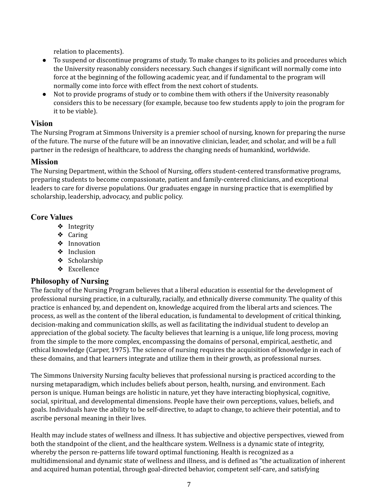relation to placements).

- ● To suspend or discontinue programs of study. To make changes to its policies and procedures which the University reasonably considers necessary. Such changes if significant will normally come into force at the beginning of the following academic year, and if fundamental to the program will normally come into force with effect from the next cohort of students.
- ● Not to provide programs of study or to combine them with others if the University reasonably considers this to be necessary (for example, because too few students apply to join the program for it to be viable).

## <span id="page-6-0"></span>**Vision**

 The Nursing Program at Simmons University is a premier school of nursing, known for preparing the nurse of the future. The nurse of the future will be an innovative clinician, leader, and scholar, and will be a full partner in the redesign of healthcare, to address the changing needs of humankind, worldwide.

## <span id="page-6-1"></span>**Mission**

 The Nursing Department, within the School of Nursing, offers student-centered transformative programs, preparing students to become compassionate, patient and family-centered clinicians, and exceptional leaders to care for diverse populations. Our graduates engage in nursing practice that is exemplified by scholarship, leadership, advocacy, and public policy.

## <span id="page-6-2"></span>**Core Values**

- ❖ Integrity
- ❖ Caring
- ❖ Innovation
- ❖ Inclusion
- ❖ Scholarship
- ❖ Excellence

# <span id="page-6-3"></span> **Philosophy of Nursing**

 The faculty of the Nursing Program believes that a liberal education is essential for the development of professional nursing practice, in a culturally, racially, and ethnically diverse community. The quality of this practice is enhanced by, and dependent on, knowledge acquired from the liberal arts and sciences. The process, as well as the content of the liberal education, is fundamental to development of critical thinking, decision-making and communication skills, as well as facilitating the individual student to develop an appreciation of the global society. The faculty believes that learning is a unique, life long process, moving from the simple to the more complex, encompassing the domains of personal, empirical, aesthetic, and ethical knowledge (Carper, 1975). The science of nursing requires the acquisition of knowledge in each of these domains, and that learners integrate and utilize them in their growth, as professional nurses.

 The Simmons University Nursing faculty believes that professional nursing is practiced according to the nursing metaparadigm, which includes beliefs about person, health, nursing, and environment. Each person is unique. Human beings are holistic in nature, yet they have interacting biophysical, cognitive, social, spiritual, and developmental dimensions. People have their own perceptions, values, beliefs, and goals. Individuals have the ability to be self-directive, to adapt to change, to achieve their potential, and to ascribe personal meaning in their lives.

 Health may include states of wellness and illness. It has subjective and objective perspectives, viewed from both the standpoint of the client, and the healthcare system. Wellness is a dynamic state of integrity, whereby the person re-patterns life toward optimal functioning. Health is recognized as a multidimensional and dynamic state of wellness and illness, and is defined as "the actualization of inherent and acquired human potential, through goal-directed behavior, competent self-care, and satisfying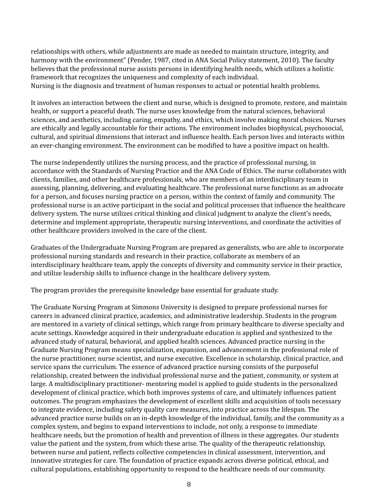relationships with others, while adjustments are made as needed to maintain structure, integrity, and harmony with the environment" (Pender, 1987, cited in ANA Social Policy statement, 2010). The faculty believes that the professional nurse assists persons in identifying health needs, which utilizes a holistic framework that recognizes the uniqueness and complexity of each individual. Nursing is the diagnosis and treatment of human responses to actual or potential health problems.

 It involves an interaction between the client and nurse, which is designed to promote, restore, and maintain health, or support a peaceful death. The nurse uses knowledge from the natural sciences, behavioral sciences, and aesthetics, including caring, empathy, and ethics, which involve making moral choices. Nurses are ethically and legally accountable for their actions. The environment includes biophysical, psychosocial, cultural, and spiritual dimensions that interact and influence health. Each person lives and interacts within an ever-changing environment. The environment can be modified to have a positive impact on health.

 The nurse independently utilizes the nursing process, and the practice of professional nursing, in accordance with the Standards of Nursing Practice and the ANA Code of Ethics. The nurse collaborates with clients, families, and other healthcare professionals, who are members of an interdisciplinary team in assessing, planning, delivering, and evaluating healthcare. The professional nurse functions as an advocate for a person, and focuses nursing practice on a person, within the context of family and community. The professional nurse is an active participant in the social and political processes that influence the healthcare delivery system. The nurse utilizes critical thinking and clinical judgment to analyze the client's needs, determine and implement appropriate, therapeutic nursing interventions, and coordinate the activities of other healthcare providers involved in the care of the client.

 Graduates of the Undergraduate Nursing Program are prepared as generalists, who are able to incorporate professional nursing standards and research in their practice, collaborate as members of an interdisciplinary healthcare team, apply the concepts of diversity and community service in their practice, and utilize leadership skills to influence change in the healthcare delivery system.

The program provides the prerequisite knowledge base essential for graduate study.

 The Graduate Nursing Program at Simmons University is designed to prepare professional nurses for careers in advanced clinical practice, academics, and administrative leadership. Students in the program are mentored in a variety of clinical settings, which range from primary healthcare to diverse specialty and acute settings. Knowledge acquired in their undergraduate education is applied and synthesized to the advanced study of natural, behavioral, and applied health sciences. Advanced practice nursing in the Graduate Nursing Program means specialization, expansion, and advancement in the professional role of the nurse practitioner, nurse scientist, and nurse executive. Excellence in scholarship, clinical practice, and service spans the curriculum. The essence of advanced practice nursing consists of the purposeful relationship, created between the individual professional nurse and the patient, community, or system at large. A multidisciplinary practitioner- mentoring model is applied to guide students in the personalized development of clinical practice, which both improves systems of care, and ultimately influences patient outcomes. The program emphasizes the development of excellent skills and acquisition of tools necessary to integrate evidence, including safety quality care measures, into practice across the lifespan. The advanced practice nurse builds on an in-depth knowledge of the individual, family, and the community as a complex system, and begins to expand interventions to include, not only, a response to immediate healthcare needs, but the promotion of health and prevention of illness in these aggregates. Our students value the patient and the system, from which these arise. The quality of the therapeutic relationship, between nurse and patient, reflects collective competencies in clinical assessment, intervention, and innovative strategies for care. The foundation of practice expands across diverse political, ethical, and cultural populations, establishing opportunity to respond to the healthcare needs of our community.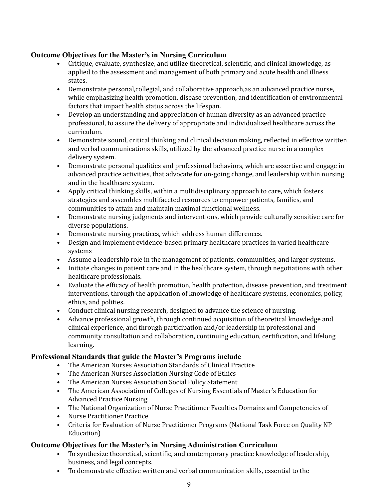## <span id="page-8-0"></span>**Outcome Objectives for the Master's in Nursing Curriculum**

- • Critique, evaluate, synthesize, and utilize theoretical, scientific, and clinical knowledge, as applied to the assessment and management of both primary and acute health and illness states.
- • Demonstrate personal,collegial, and collaborative approach,as an advanced practice nurse, while emphasizing health promotion, disease prevention, and identification of environmental factors that impact health status across the lifespan.
- • Develop an understanding and appreciation of human diversity as an advanced practice professional, to assure the delivery of appropriate and individualized healthcare across the curriculum.
- • Demonstrate sound, critical thinking and clinical decision making, reflected in effective written and verbal communications skills, utilized by the advanced practice nurse in a complex delivery system.
- • Demonstrate personal qualities and professional behaviors, which are assertive and engage in advanced practice activities, that advocate for on-going change, and leadership within nursing and in the healthcare system.
- • Apply critical thinking skills, within a multidisciplinary approach to care, which fosters strategies and assembles multifaceted resources to empower patients, families, and communities to attain and maintain maximal functional wellness.
- • Demonstrate nursing judgments and interventions, which provide culturally sensitive care for diverse populations.
- Demonstrate nursing practices, which address human differences.
- • Design and implement evidence-based primary healthcare practices in varied healthcare systems
- Assume a leadership role in the management of patients, communities, and larger systems.
- • Initiate changes in patient care and in the healthcare system, through negotiations with other healthcare professionals.
- • Evaluate the efficacy of health promotion, health protection, disease prevention, and treatment interventions, through the application of knowledge of healthcare systems, economics, policy, ethics, and polities.
- Conduct clinical nursing research, designed to advance the science of nursing.
- • Advance professional growth, through continued acquisition of theoretical knowledge and clinical experience, and through participation and/or leadership in professional and community consultation and collaboration, continuing education, certification, and lifelong learning.

## <span id="page-8-1"></span>**Professional Standards that guide the Master's Programs include**

- The American Nurses Association Standards of Clinical Practice
- The American Nurses Association Nursing Code of Ethics
- The American Nurses Association Social Policy Statement
- • The American Association of Colleges of Nursing Essentials of Master's Education for Advanced Practice Nursing
- The National Organization of Nurse Practitioner Faculties Domains and Competencies of
- Nurse Practitioner Practice
- • Criteria for Evaluation of Nurse Practitioner Programs (National Task Force on Quality NP Education)

## <span id="page-8-2"></span>**Outcome Objectives for the Master's in Nursing Administration Curriculum**

- • To synthesize theoretical, scientific, and contemporary practice knowledge of leadership, business, and legal concepts.
- To demonstrate effective written and verbal communication skills, essential to the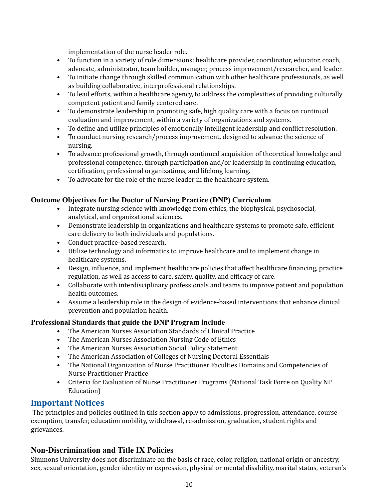implementation of the nurse leader role.

- • To function in a variety of role dimensions: healthcare provider, coordinator, educator, coach, advocate, administrator, team builder, manager, process improvement/researcher, and leader.
- • To initiate change through skilled communication with other healthcare professionals, as well as building collaborative, interprofessional relationships.
- • To lead efforts, within a healthcare agency, to address the complexities of providing culturally competent patient and family centered care.
- • To demonstrate leadership in promoting safe, high quality care with a focus on continual evaluation and improvement, within a variety of organizations and systems.
- To define and utilize principles of emotionally intelligent leadership and conflict resolution.
- • To conduct nursing research/process improvement, designed to advance the science of nursing.
- • To advance professional growth, through continued acquisition of theoretical knowledge and professional competence, through participation and/or leadership in continuing education, certification, professional organizations, and lifelong learning.
- To advocate for the role of the nurse leader in the healthcare system.

## <span id="page-9-0"></span>**Outcome Objectives for the Doctor of Nursing Practice (DNP) Curriculum**

- • Integrate nursing science with knowledge from ethics, the biophysical, psychosocial, analytical, and organizational sciences.
- • Demonstrate leadership in organizations and healthcare systems to promote safe, efficient care delivery to both individuals and populations.
- Conduct practice-based research.
- • Utilize technology and informatics to improve healthcare and to implement change in healthcare systems.
- • Design, influence, and implement healthcare policies that affect healthcare financing, practice regulation, as well as access to care, safety, quality, and efficacy of care.
- • Collaborate with interdisciplinary professionals and teams to improve patient and population health outcomes.
- • Assume a leadership role in the design of evidence-based interventions that enhance clinical prevention and population health.

#### <span id="page-9-1"></span>**Professional Standards that guide the DNP Program include**

- The American Nurses Association Standards of Clinical Practice
- The American Nurses Association Nursing Code of Ethics
- The American Nurses Association Social Policy Statement
- The American Association of Colleges of Nursing Doctoral Essentials
- • The National Organization of Nurse Practitioner Faculties Domains and Competencies of Nurse Practitioner Practice
- • Criteria for Evaluation of Nurse Practitioner Programs (National Task Force on Quality NP Education)

# <span id="page-9-2"></span>**Important Notices**

 The principles and policies outlined in this section apply to admissions, progression, attendance, course exemption, transfer, education mobility, withdrawal, re-admission, graduation, student rights and grievances.

# <span id="page-9-3"></span> **Non-Discrimination and Title IX Policies**

 Simmons University does not discriminate on the basis of race, color, religion, national origin or ancestry, sex, sexual orientation, gender identity or expression, physical or mental disability, marital status, veteran's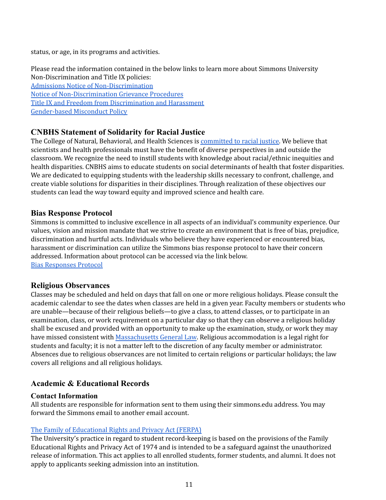status, or age, in its programs and activities.

 Please read the information contained in the below links to learn more about Simmons University Non-Discrimination and Title IX policies: Admissions Notice of [Non-Discrimination](https://www.simmons.edu/admission-financial-aid/notice-non-discrimination) Notice of [Non-Discrimination](https://internal.simmons.edu/faculty-staff/support/general-counsel/discrimination-and-harassment) Grievance Procedures Title IX and Freedom from [Discrimination](http://internal.simmons.edu/students/general-information/title-ix) and Harassment [Gender-based](https://www.simmons.edu/your-simmons/commitment-inclusivity/title-ix/gender-based-misconduct-policy) Misconduct Policy

## <span id="page-10-0"></span> **CNBHS Statement of Solidarity for Racial Justice**

The College of Natural, Behavioral, and Health Sciences is <u>[committed](https://www.simmons.edu/academics/colleges-schools-departments/cnbhs/statement-solidarity-racial-justice) to racial justice</u>. We believe that scientists and health professionals must have the benefit of diverse perspectives in and outside the classroom. We recognize the need to instill students with knowledge about racial/ethnic inequities and health disparities. CNBHS aims to educate students on social determinants of health that foster disparities. We are dedicated to equipping students with the leadership skills necessary to confront, challenge, and create viable solutions for disparities in their disciplines. Through realization of these objectives our students can lead the way toward equity and improved science and health care.

#### <span id="page-10-1"></span> **Bias Response Protocol**

 Simmons is committed to inclusive excellence in all aspects of an individual's community experience. Our values, vision and mission mandate that we strive to create an environment that is free of bias, prejudice, discrimination and hurtful acts. Individuals who believe they have experienced or encountered bias, harassment or discrimination can utilize the Simmons bias response protocol to have their concern addressed. Information about protocol can be accessed via the link below. Bias [Responses](http://www.simmons.edu/about-simmons/why-simmons/diversity-and-inclusion/bias-response-protocol/) Protocol

## <span id="page-10-2"></span>**Religious Observances**

 Classes may be scheduled and held on days that fall on one or more religious holidays. Please consult the academic calendar to see the dates when classes are held in a given year. Faculty members or students who are unable—because of their religious beliefs—to give a class, to attend classes, or to participate in an examination, class, or work requirement on a particular day so that they can observe a religious holiday shall be excused and provided with an opportunity to make up the examination, study, or work they may have missed consistent with <u>[Massachusetts](https://malegislature.gov/Laws/GeneralLaws/PartI/TitleXXI/Chapter151C/Section2B) General Law</u>. Religious accommodation is a legal right for students and faculty; it is not a matter left to the discretion of any faculty member or administrator. Absences due to religious observances are not limited to certain religions or particular holidays; the law covers all religions and all religious holidays.

## <span id="page-10-3"></span> **Academic & Educational Records**

#### <span id="page-10-4"></span>**Contact Information**

 All students are responsible for information sent to them using their [simmons.edu](https://simmons.edu) address. You may forward the Simmons email to another email account.

#### The Family of [Educational](http://www.simmons.edu/academics/registrar/resources/student-record-privacy) Rights and Privacy Act (FERPA)

 The University's practice in regard to student record-keeping is based on the provisions of the Family Educational Rights and Privacy Act of 1974 and is intended to be a safeguard against the unauthorized release of information. This act applies to all enrolled students, former students, and alumni. It does not apply to applicants seeking admission into an institution.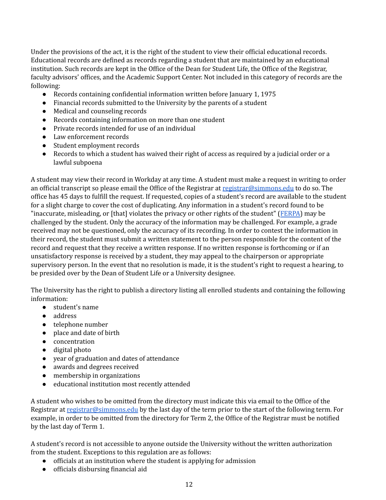Under the provisions of the act, it is the right of the student to view their official educational records. Educational records are defined as records regarding a student that are maintained by an educational institution. Such records are kept in the Office of the Dean for Student Life, the Office of the Registrar, faculty advisors' offices, and the Academic Support Center. Not included in this category of records are the following:

- Records containing confidential information written before January 1, 1975
- Financial records submitted to the University by the parents of a student
- Medical and counseling records
- Records containing information on more than one student
- Private records intended for use of an individual
- Law enforcement records
- Student employment records
- ● Records to which a student has waived their right of access as required by a judicial order or a lawful subpoena

 A student may view their record in Workday at any time. A student must make a request in writing to order an official transcript so please email the Office of the Registrar at <u>[registrar@simmons.edu](mailto:registrar@simmons.edu)</u> to do so. The office has 45 days to fulfill the request. If requested, copies of a student's record are available to the student for a slight charge to cover the cost of duplicating. Any information in a student's record found to be "inaccurate, misleading, or [that] violates the privacy or other rights of the student" ([FERPA](http://www.law.cornell.edu/uscode/html/uscode20/usc_sec_20_00001232---g000-.html)) may be challenged by the student. Only the accuracy of the information may be challenged. For example, a grade received may not be questioned, only the accuracy of its recording. In order to contest the information in their record, the student must submit a written statement to the person responsible for the content of the record and request that they receive a written response. If no written response is forthcoming or if an unsatisfactory response is received by a student, they may appeal to the chairperson or appropriate supervisory person. In the event that no resolution is made, it is the student's right to request a hearing, to be presided over by the Dean of Student Life or a University designee.

 The University has the right to publish a directory listing all enrolled students and containing the following information:

- student's name
- address
- telephone number
- place and date of birth
- concentration
- digital photo
- year of graduation and dates of attendance
- awards and degrees received
- membership in organizations
- educational institution most recently attended

 A student who wishes to be omitted from the directory must indicate this via email to the Office of the Registrar at <u>[registrar@simmons.edu](mailto:registrar@simmons.edu)</u> by the last day of the term prior to the start of the following term. For example, in order to be omitted from the directory for Term 2, the Office of the Registrar must be notified by the last day of Term 1.

 A student's record is not accessible to anyone outside the University without the written authorization from the student. Exceptions to this regulation are as follows:

- officials at an institution where the student is applying for admission
- officials disbursing financial aid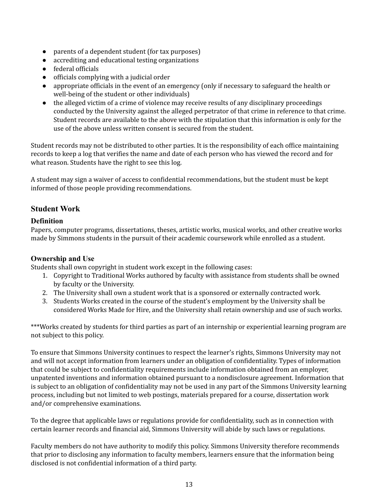- parents of a dependent student (for tax purposes)
- accrediting and educational testing organizations
- federal officials
- officials complying with a judicial order
- ● appropriate officials in the event of an emergency (only if necessary to safeguard the health or well-being of the student or other individuals)
- ● the alleged victim of a crime of violence may receive results of any disciplinary proceedings conducted by the University against the alleged perpetrator of that crime in reference to that crime. Student records are available to the above with the stipulation that this information is only for the use of the above unless written consent is secured from the student.

 Student records may not be distributed to other parties. It is the responsibility of each office maintaining records to keep a log that verifies the name and date of each person who has viewed the record and for what reason. Students have the right to see this log.

 A student may sign a waiver of access to confidential recommendations, but the student must be kept informed of those people providing recommendations.

# <span id="page-12-0"></span>**Student Work**

## <span id="page-12-1"></span>**Definition**

 Papers, computer programs, dissertations, theses, artistic works, musical works, and other creative works made by Simmons students in the pursuit of their academic coursework while enrolled as a student.

# <span id="page-12-2"></span>**Ownership and Use**

Students shall own copyright in student work except in the following cases:

- 1. Copyright to Traditional Works authored by faculty with assistance from students shall be owned by faculty or the University.
- 2. The University shall own a student work that is a sponsored or externally contracted work.
- 3. Students Works created in the course of the student's employment by the University shall be considered Works Made for Hire, and the University shall retain ownership and use of such works.

 \*\*\*Works created by students for third parties as part of an internship or experiential learning program are not subject to this policy.

 To ensure that Simmons University continues to respect the learner's rights, Simmons University may not and will not accept information from learners under an obligation of confidentiality. Types of information that could be subject to confidentiality requirements include information obtained from an employer, unpatented inventions and information obtained pursuant to a nondisclosure agreement. Information that is subject to an obligation of confidentiality may not be used in any part of the Simmons University learning process, including but not limited to web postings, materials prepared for a course, dissertation work and/or comprehensive examinations.

 To the degree that applicable laws or regulations provide for confidentiality, such as in connection with certain learner records and financial aid, Simmons University will abide by such laws or regulations.

 Faculty members do not have authority to modify this policy. Simmons University therefore recommends that prior to disclosing any information to faculty members, learners ensure that the information being disclosed is not confidential information of a third party.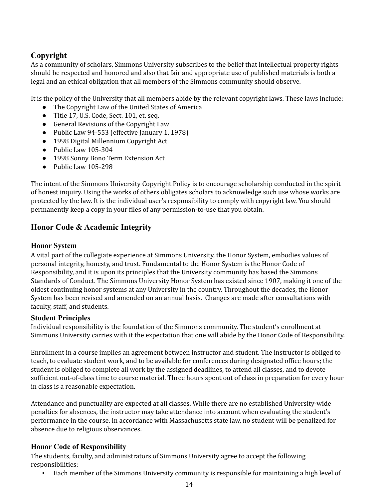# <span id="page-13-0"></span>**Copyright**

 As a community of scholars, Simmons University subscribes to the belief that intellectual property rights should be respected and honored and also that fair and appropriate use of published materials is both a legal and an ethical obligation that all members of the Simmons community should observe.

It is the policy of the University that all members abide by the relevant copyright laws. These laws include:

- The Copyright Law of the United States of America
- Title 17, U.S. Code, Sect. 101, et. seq.
- General Revisions of the Copyright Law
- Public Law 94-553 (effective January 1, 1978)
- 1998 Digital Millennium Copyright Act
- Public Law 105-304
- 1998 Sonny Bono Term Extension Act
- Public Law 105-298

 The intent of the Simmons University Copyright Policy is to encourage scholarship conducted in the spirit of honest inquiry. Using the works of others obligates scholars to acknowledge such use whose works are protected by the law. It is the individual user's responsibility to comply with copyright law. You should permanently keep a copy in your files of any permission-to-use that you obtain.

# <span id="page-13-1"></span> **Honor Code & Academic Integrity**

## <span id="page-13-2"></span>**Honor System**

 A vital part of the collegiate experience at Simmons University, the Honor System, embodies values of personal integrity, honesty, and trust. Fundamental to the Honor System is the Honor Code of Responsibility, and it is upon its principles that the University community has based the Simmons Standards of Conduct. The Simmons University Honor System has existed since 1907, making it one of the oldest continuing honor systems at any University in the country. Throughout the decades, the Honor System has been revised and amended on an annual basis. Changes are made after consultations with faculty, staff, and students.

## <span id="page-13-3"></span>**Student Principles**

 Individual responsibility is the foundation of the Simmons community. The student's enrollment at Simmons University carries with it the expectation that one will abide by the Honor Code of Responsibility.

 Enrollment in a course implies an agreement between instructor and student. The instructor is obliged to teach, to evaluate student work, and to be available for conferences during designated office hours; the student is obliged to complete all work by the assigned deadlines, to attend all classes, and to devote sufficient out-of-class time to course material. Three hours spent out of class in preparation for every hour in class is a reasonable expectation.

 Attendance and punctuality are expected at all classes. While there are no established University-wide penalties for absences, the instructor may take attendance into account when evaluating the student's performance in the course. In accordance with Massachusetts state law, no student will be penalized for absence due to religious observances.

# <span id="page-13-4"></span>**Honor Code of Responsibility**

 The students, faculty, and administrators of Simmons University agree to accept the following responsibilities:

▪ Each member of the Simmons University community is responsible for maintaining a high level of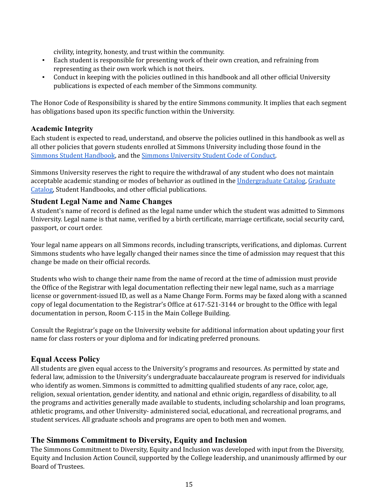civility, integrity, honesty, and trust within the community.

- ▪ Each student is responsible for presenting work of their own creation, and refraining from representing as their own work which is not theirs.
- ▪ Conduct in keeping with the policies outlined in this handbook and all other official University publications is expected of each member of the Simmons community.

 The Honor Code of Responsibility is shared by the entire Simmons community. It implies that each segment has obligations based upon its specific function within the University.

#### <span id="page-14-0"></span>**Academic Integrity**

 Each student is expected to read, understand, and observe the policies outlined in this handbook as well as all other policies that govern students enrolled at Simmons University including those found in the Simmons Student [Handbook](http://internal.simmons.edu/students/general/handbook), and the Simmons [University](http://www2.simmons.edu/documents/students/Simmons-University-Code-of-Conduct.pdf) Student Code of Conduct.

 Simmons University reserves the right to require the withdrawal of any student who does not maintain acceptable academic standing or modes of behavior as outlined in the <u>[Undergraduate](http://simmons.smartcatalogiq.com/2020-2021/Undergraduate-Course-Catalog) Catalog</u>, <u>[Graduate](http://simmons.smartcatalogiq.com/2020-2021/Graduate-Course-Catalog)</u> [Catalog,](http://simmons.smartcatalogiq.com/2020-2021/Graduate-Course-Catalog) Student Handbooks, and other official publications.

#### <span id="page-14-1"></span> **Student Legal Name and Name Changes**

 A student's name of record is defined as the legal name under which the student was admitted to Simmons University. Legal name is that name, verified by a birth certificate, marriage certificate, social security card, passport, or court order.

 Your legal name appears on all Simmons records, including transcripts, verifications, and diplomas. Current Simmons students who have legally changed their names since the time of admission may request that this change be made on their official records.

 Students who wish to change their name from the name of record at the time of admission must provide the Office of the Registrar with legal documentation reflecting their new legal name, such as a marriage license or government-issued ID, as well as a Name Change Form. Forms may be faxed along with a scanned copy of legal documentation to the Registrar's Office at 617-521-3144 or brought to the Office with legal documentation in person, Room C-115 in the Main College Building.

 Consult the Registrar's page on the University website for additional information about updating your first name for class rosters or your diploma and for indicating preferred pronouns.

## <span id="page-14-2"></span> **Equal Access Policy**

 All students are given equal access to the University's programs and resources. As permitted by state and federal law, admission to the University's undergraduate baccalaureate program is reserved for individuals who identify as women. Simmons is committed to admitting qualified students of any race, color, age, religion, sexual orientation, gender identity, and national and ethnic origin, regardless of disability, to all the programs and activities generally made available to students, including scholarship and loan programs, athletic programs, and other University- administered social, educational, and recreational programs, and student services. All graduate schools and programs are open to both men and women.

## <span id="page-14-3"></span> **The Simmons Commitment to Diversity, Equity and Inclusion**

 The Simmons Commitment to Diversity, Equity and Inclusion was developed with input from the Diversity, Equity and Inclusion Action Council, supported by the College leadership, and unanimously affirmed by our Board of Trustees.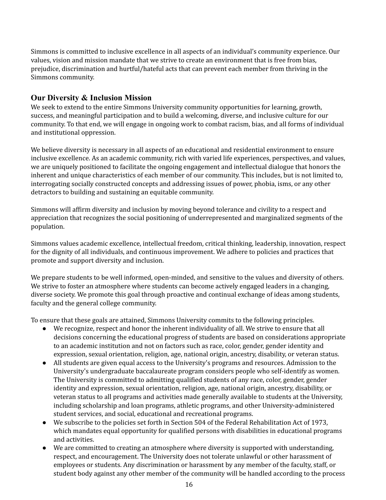Simmons is committed to inclusive excellence in all aspects of an individual's community experience. Our values, vision and mission mandate that we strive to create an environment that is free from bias, prejudice, discrimination and hurtful/hateful acts that can prevent each member from thriving in the Simmons community.

#### <span id="page-15-0"></span> **Our Diversity & Inclusion Mission**

 We seek to extend to the entire Simmons University community opportunities for learning, growth, success, and meaningful participation and to build a welcoming, diverse, and inclusive culture for our community. To that end, we will engage in ongoing work to combat racism, bias, and all forms of individual and institutional oppression.

 We believe diversity is necessary in all aspects of an educational and residential environment to ensure inclusive excellence. As an academic community, rich with varied life experiences, perspectives, and values, we are uniquely positioned to facilitate the ongoing engagement and intellectual dialogue that honors the inherent and unique characteristics of each member of our community. This includes, but is not limited to, interrogating socially constructed concepts and addressing issues of power, phobia, isms, or any other detractors to building and sustaining an equitable community.

 Simmons will affirm diversity and inclusion by moving beyond tolerance and civility to a respect and appreciation that recognizes the social positioning of underrepresented and marginalized segments of the population.

 Simmons values academic excellence, intellectual freedom, critical thinking, leadership, innovation, respect for the dignity of all individuals, and continuous improvement. We adhere to policies and practices that promote and support diversity and inclusion.

 We prepare students to be well informed, open-minded, and sensitive to the values and diversity of others. We strive to foster an atmosphere where students can become actively engaged leaders in a changing, diverse society. We promote this goal through proactive and continual exchange of ideas among students, faculty and the general college community.

To ensure that these goals are attained, Simmons University commits to the following principles.

- ● We recognize, respect and honor the inherent individuality of all. We strive to ensure that all decisions concerning the educational progress of students are based on considerations appropriate to an academic institution and not on factors such as race, color, gender, gender identity and expression, sexual orientation, religion, age, national origin, ancestry, disability, or veteran status.
- ● All students are given equal access to the University's programs and resources. Admission to the University's undergraduate baccalaureate program considers people who self-identify as women. The University is committed to admitting qualified students of any race, color, gender, gender identity and expression, sexual orientation, religion, age, national origin, ancestry, disability, or veteran status to all programs and activities made generally available to students at the University, including scholarship and loan programs, athletic programs, and other University-administered student services, and social, educational and recreational programs.
- ● We subscribe to the policies set forth in Section 504 of the Federal Rehabilitation Act of 1973, which mandates equal opportunity for qualified persons with disabilities in educational programs and activities.
- ● We are committed to creating an atmosphere where diversity is supported with understanding, respect, and encouragement. The University does not tolerate unlawful or other harassment of employees or students. Any discrimination or harassment by any member of the faculty, staff, or student body against any other member of the community will be handled according to the process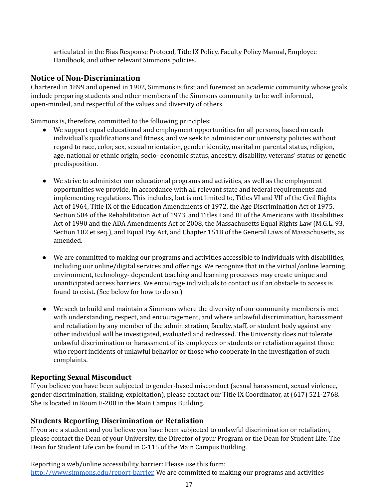articulated in the Bias Response Protocol, Title IX Policy, Faculty Policy Manual, Employee Handbook, and other relevant Simmons policies.

## <span id="page-16-0"></span> **Notice of Non-Discrimination**

 Chartered in 1899 and opened in 1902, Simmons is first and foremost an academic community whose goals include preparing students and other members of the Simmons community to be well informed, open-minded, and respectful of the values and diversity of others.

Simmons is, therefore, committed to the following principles:

- ● We support equal educational and employment opportunities for all persons, based on each individual's qualifications and fitness, and we seek to administer our university policies without regard to race, color, sex, sexual orientation, gender identity, marital or parental status, religion, age, national or ethnic origin, socio- economic status, ancestry, disability, veterans' status or genetic predisposition.
- ● We strive to administer our educational programs and activities, as well as the employment opportunities we provide, in accordance with all relevant state and federal requirements and implementing regulations. This includes, but is not limited to, Titles VI and VII of the Civil Rights Act of 1964, Title IX of the Education Amendments of 1972, the Age Discrimination Act of 1975, Section 504 of the Rehabilitation Act of 1973, and Titles I and III of the Americans with Disabilities Act of 1990 and the ADA Amendments Act of 2008, the Massachusetts Equal Rights Law (M.G.L. 93, Section 102 et seq.), and Equal Pay Act, and Chapter 151B of the General Laws of Massachusetts, as amended.
- ● We are committed to making our programs and activities accessible to individuals with disabilities, including our online/digital services and offerings. We recognize that in the virtual/online learning environment, technology- dependent teaching and learning processes may create unique and unanticipated access barriers. We encourage individuals to contact us if an obstacle to access is found to exist. (See below for how to do so.)
- ● We seek to build and maintain a Simmons where the diversity of our community members is met with understanding, respect, and encouragement, and where unlawful discrimination, harassment and retaliation by any member of the administration, faculty, staff, or student body against any other individual will be investigated, evaluated and redressed. The University does not tolerate unlawful discrimination or harassment of its employees or students or retaliation against those who report incidents of unlawful behavior or those who cooperate in the investigation of such complaints.

#### <span id="page-16-1"></span>**Reporting Sexual Misconduct**

 If you believe you have been subjected to gender-based misconduct (sexual harassment, sexual violence, gender discrimination, stalking, exploitation), please contact our Title IX Coordinator, at (617) 521-2768. She is located in Room E-200 in the Main Campus Building.

## <span id="page-16-2"></span> **Students Reporting Discrimination or Retaliation**

 If you are a student and you believe you have been subjected to unlawful discrimination or retaliation, please contact the Dean of your University, the Director of your Program or the Dean for Student Life. The Dean for Student Life can be found in C-115 of the Main Campus Building.

 Reporting a web/online accessibility barrier: Please use this form: [http://www.simmons.edu/report-barrier.](http://www.simmons.edu/report-barrier) We are committed to making our programs and activities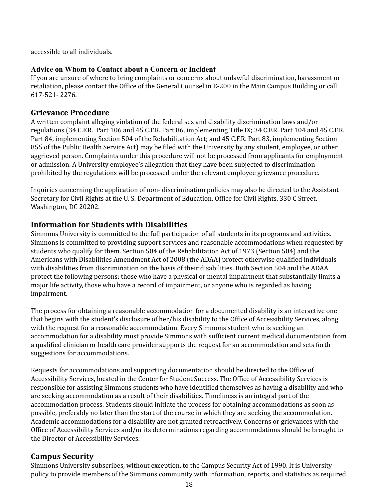accessible to all individuals.

#### <span id="page-17-0"></span>**Advice on Whom to Contact about a Concern or Incident**

 If you are unsure of where to bring complaints or concerns about unlawful discrimination, harassment or retaliation, please contact the Office of the General Counsel in E-200 in the Main Campus Building or call 617-521- 2276.

## <span id="page-17-1"></span>**Grievance Procedure**

 A written complaint alleging violation of the federal sex and disability discrimination laws and/or regulations (34 C.F.R. Part 106 and 45 C.F.R. Part 86, implementing Title IX; 34 C.F.R. Part 104 and 45 C.F.R. Part 84, implementing Section 504 of the Rehabilitation Act; and 45 C.F.R. Part 83, implementing Section 855 of the Public Health Service Act) may be filed with the University by any student, employee, or other aggrieved person. Complaints under this procedure will not be processed from applicants for employment or admission. A University employee's allegation that they have been subjected to discrimination prohibited by the regulations will be processed under the relevant employee grievance procedure.

 Inquiries concerning the application of non- discrimination policies may also be directed to the Assistant Secretary for Civil Rights at the U. S. Department of Education, Office for Civil Rights, 330 C Street, Washington, DC 20202.

# <span id="page-17-2"></span> **Information for Students with Disabilities**

 Simmons University is committed to the full participation of all students in its programs and activities. Simmons is committed to providing support services and reasonable accommodations when requested by students who qualify for them. Section 504 of the Rehabilitation Act of 1973 (Section 504) and the Americans with Disabilities Amendment Act of 2008 (the ADAA) protect otherwise qualified individuals with disabilities from discrimination on the basis of their disabilities. Both Section 504 and the ADAA protect the following persons: those who have a physical or mental impairment that substantially limits a major life activity, those who have a record of impairment, or anyone who is regarded as having impairment.

 The process for obtaining a reasonable accommodation for a documented disability is an interactive one that begins with the student's disclosure of her/his disability to the Office of Accessibility Services, along with the request for a reasonable accommodation. Every Simmons student who is seeking an accommodation for a disability must provide Simmons with sufficient current medical documentation from a qualified clinician or health care provider supports the request for an accommodation and sets forth suggestions for accommodations.

 Requests for accommodations and supporting documentation should be directed to the Office of Accessibility Services, located in the Center for Student Success. The Office of Accessibility Services is responsible for assisting Simmons students who have identified themselves as having a disability and who are seeking accommodation as a result of their disabilities. Timeliness is an integral part of the accommodation process. Students should initiate the process for obtaining accommodations as soon as possible, preferably no later than the start of the course in which they are seeking the accommodation. Academic accommodations for a disability are not granted retroactively. Concerns or grievances with the Office of Accessibility Services and/or its determinations regarding accommodations should be brought to the Director of Accessibility Services.

# <span id="page-17-3"></span>**Campus Security**

 Simmons University subscribes, without exception, to the Campus Security Act of 1990. It is University policy to provide members of the Simmons community with information, reports, and statistics as required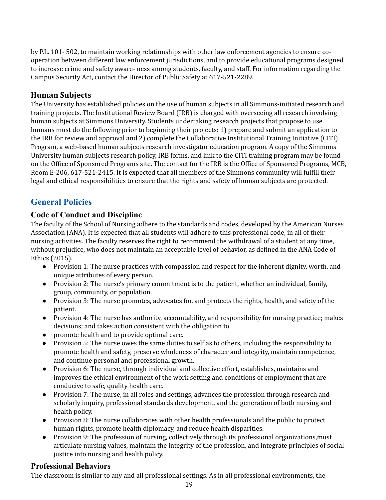by P.L. 101- 502, to maintain working relationships with other law enforcement agencies to ensure co- operation between different law enforcement jurisdictions, and to provide educational programs designed to increase crime and safety aware- ness among students, faculty, and staff. For information regarding the Campus Security Act, contact the Director of Public Safety at 617-521-2289.

## <span id="page-18-0"></span>**Human Subjects**

 The University has established policies on the use of human subjects in all Simmons-initiated research and training projects. The Institutional Review Board (IRB) is charged with overseeing all research involving human subjects at Simmons University. Students undertaking research projects that propose to use humans must do the following prior to beginning their projects: 1) prepare and submit an application to the IRB for review and approval and 2) complete the Collaborative Institutional Training Initiative (CITI) Program, a web-based human subjects research investigator education program. A copy of the Simmons University human subjects research policy, IRB forms, and link to the CITI training program may be found on the Office of Sponsored Programs site. The contact for the IRB is the Office of Sponsored Programs, MCB, Room E-206, 617-521-2415. It is expected that all members of the Simmons community will fulfill their legal and ethical responsibilities to ensure that the rights and safety of human subjects are protected.

# <span id="page-18-1"></span>**General Policies**

## <span id="page-18-2"></span> **Code of Conduct and Discipline**

 The faculty of the School of Nursing adhere to the standards and codes, developed by the American Nurses Association (ANA). It is expected that all students will adhere to this professional code, in all of their nursing activities. The faculty reserves the right to recommend the withdrawal of a student at any time, without prejudice, who does not maintain an acceptable level of behavior, as defined in the ANA Code of Ethics (2015).

- ● Provision 1: The nurse practices with compassion and respect for the inherent dignity, worth, and unique attributes of every person.
- ● Provision 2: The nurse's primary commitment is to the patient, whether an individual, family, group, community, or population.
- ● Provision 3: The nurse promotes, advocates for, and protects the rights, health, and safety of the patient.
- ● Provision 4: The nurse has authority, accountability, and responsibility for nursing practice; makes decisions; and takes action consistent with the obligation to
- promote health and to provide optimal care.
- ● Provision 5: The nurse owes the same duties to self as to others, including the responsibility to promote health and safety, preserve wholeness of character and integrity, maintain competence, and continue personal and professional growth.
- ● Provision 6: The nurse, through individual and collective effort, establishes, maintains and improves the ethical environment of the work setting and conditions of employment that are conducive to safe, quality health care.
- ● Provision 7: The nurse, in all roles and settings, advances the profession through research and scholarly inquiry, professional standards development, and the generation of both nursing and health policy.
- ● Provision 8: The nurse collaborates with other health professionals and the public to protect human rights, promote health diplomacy, and reduce health disparities.
- ● Provision 9: The profession of nursing, collectively through its professional organizations,must articulate nursing values, maintain the integrity of the profession, and integrate principles of social justice into nursing and health policy.

# <span id="page-18-3"></span>**Professional Behaviors**

The classroom is similar to any and all professional settings. As in all professional environments, the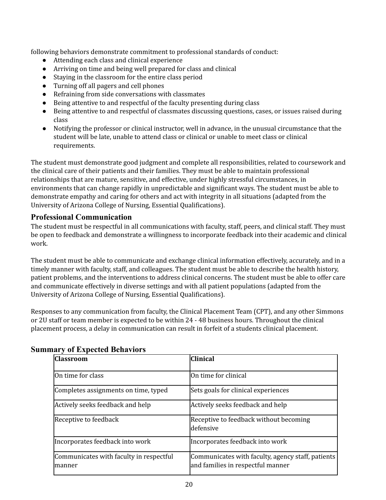following behaviors demonstrate commitment to professional standards of conduct:

- Attending each class and clinical experience
- Arriving on time and being well prepared for class and clinical
- Staying in the classroom for the entire class period
- Turning off all pagers and cell phones
- Refraining from side conversations with classmates
- Being attentive to and respectful of the faculty presenting during class
- ● Being attentive to and respectful of classmates discussing questions, cases, or issues raised during class
- ● Notifying the professor or clinical instructor, well in advance, in the unusual circumstance that the student will be late, unable to attend class or clinical or unable to meet class or clinical requirements.

 The student must demonstrate good judgment and complete all responsibilities, related to coursework and the clinical care of their patients and their families. They must be able to maintain professional relationships that are mature, sensitive, and effective, under highly stressful circumstances, in environments that can change rapidly in unpredictable and significant ways. The student must be able to demonstrate empathy and caring for others and act with integrity in all situations (adapted from the University of Arizona College of Nursing, Essential Qualifications).

## <span id="page-19-0"></span>**Professional Communication**

 The student must be respectful in all communications with faculty, staff, peers, and clinical staff. They must be open to feedback and demonstrate a willingness to incorporate feedback into their academic and clinical work.

 The student must be able to communicate and exchange clinical information effectively, accurately, and in a timely manner with faculty, staff, and colleagues. The student must be able to describe the health history, patient problems, and the interventions to address clinical concerns. The student must be able to offer care and communicate effectively in diverse settings and with all patient populations (adapted from the University of Arizona College of Nursing, Essential Qualifications).

 Responses to any communication from faculty, the Clinical Placement Team (CPT), and any other Simmons or 2U staff or team member is expected to be within 24 - 48 business hours. Throughout the clinical placement process, a delay in communication can result in forfeit of a students clinical placement.

| <b>Classroom</b>                                   | <b>Clinical</b>                                                                        |
|----------------------------------------------------|----------------------------------------------------------------------------------------|
| On time for class                                  | On time for clinical                                                                   |
| Completes assignments on time, typed               | Sets goals for clinical experiences                                                    |
| Actively seeks feedback and help                   | Actively seeks feedback and help                                                       |
| Receptive to feedback                              | Receptive to feedback without becoming<br>ldefensive                                   |
| Incorporates feedback into work                    | Incorporates feedback into work                                                        |
| Communicates with faculty in respectful<br>Imanner | Communicates with faculty, agency staff, patients<br>and families in respectful manner |

## <span id="page-19-1"></span> **Summary of Expected Behaviors**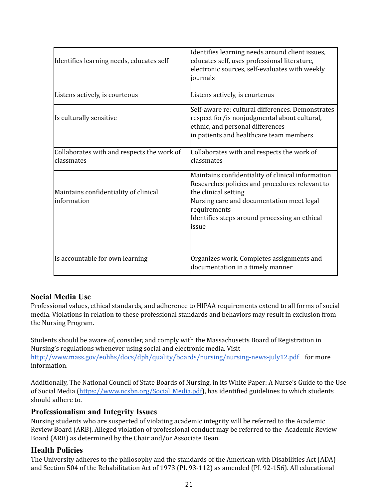| Identifies learning needs, educates self                 | Identifies learning needs around client issues,<br>educates self, uses professional literature,<br>electronic sources, self-evaluates with weekly<br>journals                                                                                       |
|----------------------------------------------------------|-----------------------------------------------------------------------------------------------------------------------------------------------------------------------------------------------------------------------------------------------------|
| Listens actively, is courteous                           | Listens actively, is courteous                                                                                                                                                                                                                      |
| Is culturally sensitive                                  | Self-aware re: cultural differences. Demonstrates<br>respect for/is nonjudgmental about cultural,<br>ethnic, and personal differences<br>in patients and healthcare team members                                                                    |
| Collaborates with and respects the work of<br>classmates | Collaborates with and respects the work of<br>classmates                                                                                                                                                                                            |
| Maintains confidentiality of clinical<br>linformation    | Maintains confidentiality of clinical information<br>Researches policies and procedures relevant to<br>the clinical setting<br>Nursing care and documentation meet legal<br>requirements<br>Identifies steps around processing an ethical<br>lissue |
| Is accountable for own learning                          | Organizes work. Completes assignments and<br>documentation in a timely manner                                                                                                                                                                       |

# <span id="page-20-0"></span> **Social Media Use**

 Professional values, ethical standards, and adherence to HIPAA requirements extend to all forms of social media. Violations in relation to these professional standards and behaviors may result in exclusion from the Nursing Program.

 Students should be aware of, consider, and comply with the Massachusetts Board of Registration in Nursing's regulations whenever using social and electronic media. Visit <http://www.mass.gov/eohhs/docs/dph/quality/boards/nursing/nursing-news-july12.pdf> for more information.

 Additionally, The National Council of State Boards of Nursing, in its White Paper: A Nurse's Guide to the Use of Social Media ([https://www.ncsbn.org/Social\\_Media.pdf](https://www.ncsbn.org/Social_Media.pdf)), has identified guidelines to which students should adhere to.

## <span id="page-20-1"></span> **Professionalism and Integrity Issues**

 Nursing students who are suspected of violating academic integrity will be referred to the Academic Review Board (ARB). Alleged violation of professional conduct may be referred to the Academic Review Board (ARB) as determined by the Chair and/or Associate Dean.

# <span id="page-20-2"></span>**Health Policies**

 The University adheres to the philosophy and the standards of the American with Disabilities Act (ADA) and Section 504 of the Rehabilitation Act of 1973 (PL 93-112) as amended (PL 92-156). All educational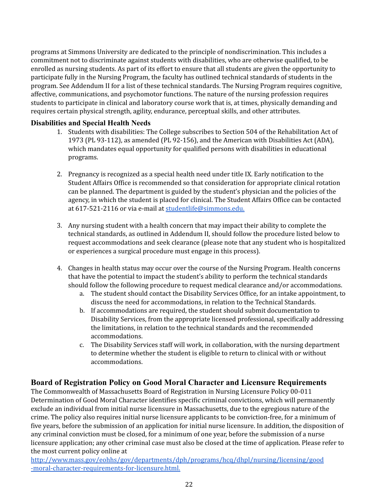programs at Simmons University are dedicated to the principle of nondiscrimination. This includes a commitment not to discriminate against students with disabilities, who are otherwise qualified, to be enrolled as nursing students. As part of its effort to ensure that all students are given the opportunity to participate fully in the Nursing Program, the faculty has outlined technical standards of students in the program. See Addendum II for a list of these technical standards. The Nursing Program requires cognitive, affective, communications, and psychomotor functions. The nature of the nursing profession requires students to participate in clinical and laboratory course work that is, at times, physically demanding and requires certain physical strength, agility, endurance, perceptual skills, and other attributes.

#### <span id="page-21-0"></span>**Disabilities and Special Health Needs**

- 1. Students with disabilities: The College subscribes to Section 504 of the Rehabilitation Act of 1973 (PL 93-112), as amended (PL 92-156), and the American with Disabilities Act (ADA), which mandates equal opportunity for qualified persons with disabilities in educational programs.
- 2. Pregnancy is recognized as a special health need under title IX. Early notification to the Student Affairs Office is recommended so that consideration for appropriate clinical rotation can be planned. The department is guided by the student's physician and the policies of the agency, in which the student is placed for clinical. The Student Affairs Office can be contacted at 617-521-2116 or via e-mail at <u>[studentlife@simmons.edu.](mailto:studentlife@simmons.edu)</u>
- 3. Any nursing student with a health concern that may impact their ability to complete the technical standards, as outlined in Addendum II, should follow the procedure listed below to request accommodations and seek clearance (please note that any student who is hospitalized or experiences a surgical procedure must engage in this process).
- 4. Changes in health status may occur over the course of the Nursing Program. Health concerns that have the potential to impact the student's ability to perform the technical standards should follow the following procedure to request medical clearance and/or accommodations.
	- a. The student should contact the Disability Services Office, for an intake appointment, to discuss the need for accommodations, in relation to the Technical Standards.
	- b. If accommodations are required, the student should submit documentation to Disability Services, from the appropriate licensed professional, specifically addressing the limitations, in relation to the technical standards and the recommended accommodations.
	- c. The Disability Services staff will work, in collaboration, with the nursing department to determine whether the student is eligible to return to clinical with or without accommodations.

## <span id="page-21-1"></span> **Board of Registration Policy on Good Moral Character and Licensure Requirements**

 The Commonwealth of Massachusetts Board of Registration in Nursing Licensure Policy 00-011 Determination of Good Moral Character identifies specific criminal convictions, which will permanently exclude an individual from initial nurse licensure in Massachusetts, due to the egregious nature of the crime. The policy also requires initial nurse licensure applicants to be conviction-free, for a minimum of five years, before the submission of an application for initial nurse licensure. In addition, the disposition of any criminal conviction must be closed, for a minimum of one year, before the submission of a nurse licensure application; any other criminal case must also be closed at the time of application. Please refer to the most current policy online at

[http://www.mass.gov/eohhs/gov/departments/dph/programs/hcq/dhpl/nursing/licensing/good](http://www.mass.gov/eohhs/gov/departments/dph/programs/hcq/dhpl/nursing/licensing/good-moral-character-requirements-for-licensure.html) [-moral-character-requirements-for-licensure.html.](http://www.mass.gov/eohhs/gov/departments/dph/programs/hcq/dhpl/nursing/licensing/good-moral-character-requirements-for-licensure.html)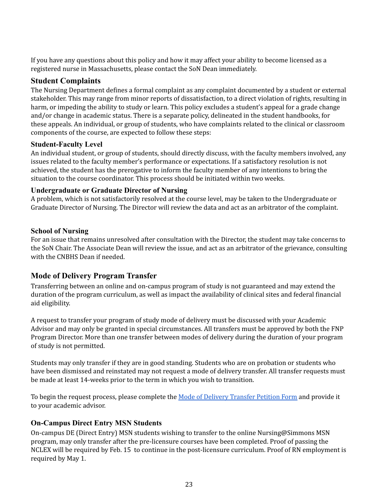If you have any questions about this policy and how it may affect your ability to become licensed as a registered nurse in Massachusetts, please contact the SoN Dean immediately.

#### <span id="page-22-0"></span>**Student Complaints**

 The Nursing Department defines a formal complaint as any complaint documented by a student or external stakeholder. This may range from minor reports of dissatisfaction, to a direct violation of rights, resulting in harm, or impeding the ability to study or learn. This policy excludes a student's appeal for a grade change and/or change in academic status. There is a separate policy, delineated in the student handbooks, for these appeals. An individual, or group of students, who have complaints related to the clinical or classroom components of the course, are expected to follow these steps:

#### <span id="page-22-1"></span>**Student-Faculty Level**

 An individual student, or group of students, should directly discuss, with the faculty members involved, any issues related to the faculty member's performance or expectations. If a satisfactory resolution is not achieved, the student has the prerogative to inform the faculty member of any intentions to bring the situation to the course coordinator. This process should be initiated within two weeks.

#### <span id="page-22-2"></span>**Undergraduate or Graduate Director of Nursing**

 A problem, which is not satisfactorily resolved at the course level, may be taken to the Undergraduate or Graduate Director of Nursing. The Director will review the data and act as an arbitrator of the complaint.

#### <span id="page-22-3"></span>**School of Nursing**

 For an issue that remains unresolved after consultation with the Director, the student may take concerns to the SoN Chair. The Associate Dean will review the issue, and act as an arbitrator of the grievance, consulting with the CNBHS Dean if needed.

# <span id="page-22-4"></span> **Mode of Delivery Program Transfer**

 Transferring between an online and on-campus program of study is not guaranteed and may extend the duration of the program curriculum, as well as impact the availability of clinical sites and federal financial aid eligibility.

 A request to transfer your program of study mode of delivery must be discussed with your Academic Advisor and may only be granted in special circumstances. All transfers must be approved by both the FNP Program Director. More than one transfer between modes of delivery during the duration of your program of study is not permitted.

 Students may only transfer if they are in good standing. Students who are on probation or students who have been dismissed and reinstated may not request a mode of delivery transfer. All transfer requests must be made at least 14-weeks prior to the term in which you wish to transition.

To begin the request process, please complete the <u>Mode of Delivery [Transfer](https://docs.google.com/forms/d/e/1FAIpQLSdJL1zqDz9t6Bbz9bWjttb8K28cnihVSTU7VF4esI2Gp9Oaog/viewform?usp=sf_link) Petition Form</u> and provide it to your academic advisor.

## <span id="page-22-5"></span>**On-Campus Direct Entry MSN Students**

<span id="page-22-6"></span> On-campus DE (Direct Entry) MSN students wishing to transfer to the online Nursing@Simmons MSN program, may only transfer after the pre-licensure courses have been completed. Proof of passing the NCLEX will be required by Feb. 15 to continue in the post-licensure curriculum. Proof of RN employment is required by May 1.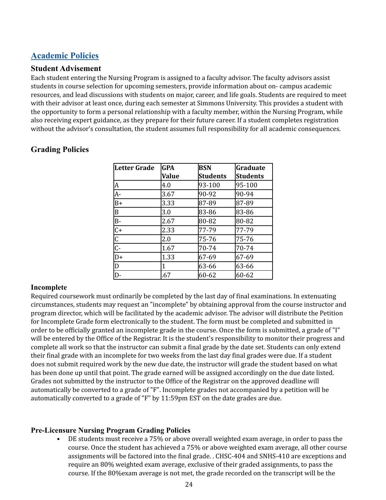# **Academic Policies**

#### <span id="page-23-0"></span>**Student Advisement**

 Each student entering the Nursing Program is assigned to a faculty advisor. The faculty advisors assist students in course selection for upcoming semesters, provide information about on- campus academic resources, and lead discussions with students on major, career, and life goals. Students are required to meet with their advisor at least once, during each semester at Simmons University. This provides a student with the opportunity to form a personal relationship with a faculty member, within the Nursing Program, while also receiving expert guidance, as they prepare for their future career. If a student completes registration without the advisor's consultation, the student assumes full responsibility for all academic consequences.

| <b>Letter Grade</b> | <b>GPA</b> | <b>BSN</b>      | <b>Graduate</b> |
|---------------------|------------|-----------------|-----------------|
|                     | Value      | <b>Students</b> | <b>Students</b> |
| A                   | 4.0        | 93-100          | 95-100          |
| $\overline{A}$ -    | 3.67       | 90-92           | 90-94           |
| $B+$                | 3.33       | 87-89           | 87-89           |
| B                   | 3.0        | 83-86           | 83-86           |
| $B -$               | 2.67       | 80-82           | 80-82           |
| $\overline{C+}$     | 2.33       | 77-79           | 77-79           |
| $rac{C}{C}$         | 2.0        | 75-76           | 75-76           |
|                     | 1.67       | 70-74           | 70-74           |
| $D+$                | 1.33       | 67-69           | 67-69           |
| D                   | 1          | 63-66           | 63-66           |
| D-                  | .67        | 60-62           | 60-62           |

# <span id="page-23-1"></span>**Grading Policies**

#### <span id="page-23-2"></span>**Incomplete**

 Required coursework must ordinarily be completed by the last day of final examinations. In extenuating circumstances, students may request an "incomplete" by obtaining approval from the course instructor and program director, which will be facilitated by the academic advisor. The advisor will distribute the Petition for Incomplete Grade form electronically to the student. The form must be completed and submitted in order to be officially granted an incomplete grade in the course. Once the form is submitted, a grade of "I" will be entered by the Office of the Registrar. It is the student's responsibility to monitor their progress and complete all work so that the instructor can submit a final grade by the date set. Students can only extend their final grade with an incomplete for two weeks from the last day final grades were due. If a student does not submit required work by the new due date, the instructor will grade the student based on what has been done up until that point. The grade earned will be assigned accordingly on the due date listed. Grades not submitted by the instructor to the Office of the Registrar on the approved deadline will automatically be converted to a grade of "F". Incomplete grades not accompanied by a petition will be automatically converted to a grade of "F" by 11:59pm EST on the date grades are due.

## <span id="page-23-3"></span>**Pre-Licensure Nursing Program Grading Policies**

 • DE students must receive a 75% or above overall weighted exam average, in order to pass the course. Once the student has achieved a 75% or above weighted exam average, all other course assignments will be factored into the final grade. . CHSC-404 and SNHS-410 are exceptions and require an 80% weighted exam average, exclusive of their graded assignments, to pass the course. If the 80%exam average is not met, the grade recorded on the transcript will be the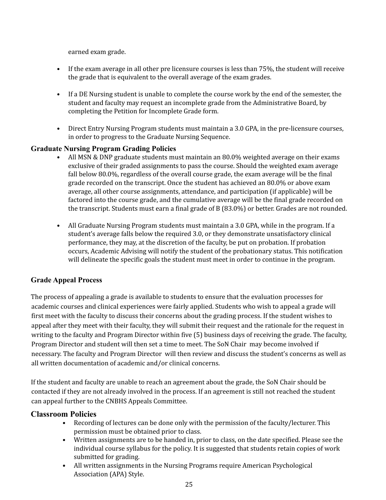earned exam grade.

- • If the exam average in all other pre licensure courses is less than 75%, the student will receive the grade that is equivalent to the overall average of the exam grades.
- • If a DE Nursing student is unable to complete the course work by the end of the semester, the student and faculty may request an incomplete grade from the Administrative Board, by completing the Petition for Incomplete Grade form.
- • Direct Entry Nursing Program students must maintain a 3.0 GPA, in the pre-licensure courses, in order to progress to the Graduate Nursing Sequence.

## <span id="page-24-0"></span>**Graduate Nursing Program Grading Policies**

- • All MSN & DNP graduate students must maintain an 80.0% weighted average on their exams exclusive of their graded assignments to pass the course. Should the weighted exam average fall below 80.0%, regardless of the overall course grade, the exam average will be the final grade recorded on the transcript. Once the student has achieved an 80.0% or above exam average, all other course assignments, attendance, and participation (if applicable) will be factored into the course grade, and the cumulative average will be the final grade recorded on the transcript. Students must earn a final grade of B (83.0%) or better. Grades are not rounded.
- • All Graduate Nursing Program students must maintain a 3.0 GPA, while in the program. If a student's average falls below the required 3.0, or they demonstrate unsatisfactory clinical performance, they may, at the discretion of the faculty, be put on probation. If probation occurs, Academic Advising will notify the student of the probationary status. This notification will delineate the specific goals the student must meet in order to continue in the program.

## <span id="page-24-1"></span>**Grade Appeal Process**

 The process of appealing a grade is available to students to ensure that the evaluation processes for academic courses and clinical experiences were fairly applied. Students who wish to appeal a grade will first meet with the faculty to discuss their concerns about the grading process. If the student wishes to appeal after they meet with their faculty, they will submit their request and the rationale for the request in writing to the faculty and Program Director within five (5) business days of receiving the grade. The faculty, Program Director and student will then set a time to meet. The SoN Chair may become involved if necessary. The faculty and Program Director will then review and discuss the student's concerns as well as all written documentation of academic and/or clinical concerns.

 If the student and faculty are unable to reach an agreement about the grade, the SoN Chair should be contacted if they are not already involved in the process. If an agreement is still not reached the student can appeal further to the CNBHS Appeals Committee.

## <span id="page-24-2"></span>**Classroom Policies**

- • Recording of lectures can be done only with the permission of the faculty/lecturer. This permission must be obtained prior to class.
- • Written assignments are to be handed in, prior to class, on the date specified. Please see the individual course syllabus for the policy. It is suggested that students retain copies of work submitted for grading.
- • All written assignments in the Nursing Programs require American Psychological Association (APA) Style.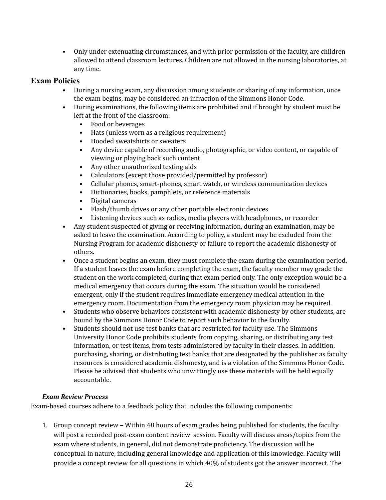• Only under extenuating circumstances, and with prior permission of the faculty, are children allowed to attend classroom lectures. Children are not allowed in the nursing laboratories, at any time.

## <span id="page-25-0"></span>**Exam Policies**

- • During a nursing exam, any discussion among students or sharing of any information, once the exam begins, may be considered an infraction of the Simmons Honor Code.
- • During examinations, the following items are prohibited and if brought by student must be left at the front of the classroom:
	- Food or beverages
	- Hats (unless worn as a religious requirement)
	- Hooded sweatshirts or sweaters
	- • Any device capable of recording audio, photographic, or video content, or capable of viewing or playing back such content
	- Any other unauthorized testing aids
	- Calculators (except those provided/permitted by professor)
	- Cellular phones, smart-phones, smart watch, or wireless communication devices
	- Dictionaries, books, pamphlets, or reference materials
	- Digital cameras
	- Flash/thumb drives or any other portable electronic devices
	- Listening devices such as radios, media players with headphones, or recorder
- • Any student suspected of giving or receiving information, during an examination, may be asked to leave the examination. According to policy, a student may be excluded from the Nursing Program for academic dishonesty or failure to report the academic dishonesty of others.
- • Once a student begins an exam, they must complete the exam during the examination period. If a student leaves the exam before completing the exam, the faculty member may grade the student on the work completed, during that exam period only. The only exception would be a medical emergency that occurs during the exam. The situation would be considered emergent, only if the student requires immediate emergency medical attention in the emergency room. Documentation from the emergency room physician may be required.
- • Students who observe behaviors consistent with academic dishonesty by other students, are bound by the Simmons Honor Code to report such behavior to the faculty.
- • Students should not use test banks that are restricted for faculty use. The Simmons University Honor Code prohibits students from copying, sharing, or distributing any test information, or test items, from tests administered by faculty in their classes. In addition, purchasing, sharing, or distributing test banks that are designated by the publisher as faculty resources is considered academic dishonesty, and is a violation of the Simmons Honor Code. Please be advised that students who unwittingly use these materials will be held equally accountable.

## <span id="page-25-1"></span> *Exam Review Process*

Exam-based courses adhere to a feedback policy that includes the following components:

 1. Group concept review – Within 48 hours of exam grades being published for students, the faculty will post a recorded post-exam content review session. Faculty will discuss areas/topics from the exam where students, in general, did not demonstrate proficiency. The discussion will be conceptual in nature, including general knowledge and application of this knowledge. Faculty will provide a concept review for all questions in which 40% of students got the answer incorrect. The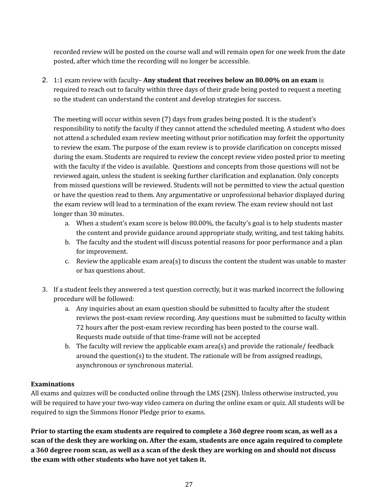recorded review will be posted on the course wall and will remain open for one week from the date posted, after which time the recording will no longer be accessible.

 2. 1:1 exam review with faculty– **Any student that receives below an 80.00% on an exam** is required to reach out to faculty within three days of their grade being posted to request a meeting so the student can understand the content and develop strategies for success.

 The meeting will occur within seven (7) days from grades being posted. It is the student's responsibility to notify the faculty if they cannot attend the scheduled meeting. A student who does not attend a scheduled exam review meeting without prior notification may forfeit the opportunity to review the exam. The purpose of the exam review is to provide clarification on concepts missed during the exam. Students are required to review the concept review video posted prior to meeting with the faculty if the video is available. Questions and concepts from those questions will not be reviewed again, unless the student is seeking further clarification and explanation. Only concepts from missed questions will be reviewed. Students will not be permitted to view the actual question or have the question read to them. Any argumentative or unprofessional behavior displayed during the exam review will lead to a termination of the exam review. The exam review should not last longer than 30 minutes.

- a. When a student's exam score is below 80.00%, the faculty's goal is to help students master the content and provide guidance around appropriate study, writing, and test taking habits.
- b. The faculty and the student will discuss potential reasons for poor performance and a plan for improvement.
- c. Review the applicable exam area(s) to discuss the content the student was unable to master or has questions about.
- 3. If a student feels they answered a test question correctly, but it was marked incorrect the following procedure will be followed:
	- a. Any inquiries about an exam question should be submitted to faculty after the student reviews the post-exam review recording. Any questions must be submitted to faculty within 72 hours after the post-exam review recording has been posted to the course wall. Requests made outside of that time-frame will not be accepted
	- b. The faculty will review the applicable exam area(s) and provide the rationale/ feedback around the question(s) to the student. The rationale will be from assigned readings, asynchronous or synchronous material.

## <span id="page-26-0"></span>**Examinations**

 All exams and quizzes will be conducted online through the LMS (2SN). Unless otherwise instructed, you will be required to have your two-way video camera on during the online exam or quiz. All students will be required to sign the Simmons Honor Pledge prior to exams.

Prior to starting the exam students are required to complete a 360 degree room scan, as well as a scan of the desk they are working on. After the exam, students are once again required to complete a 360 degree room scan, as well as a scan of the desk they are working on and should not discuss  **the exam with other students who have not yet taken it.**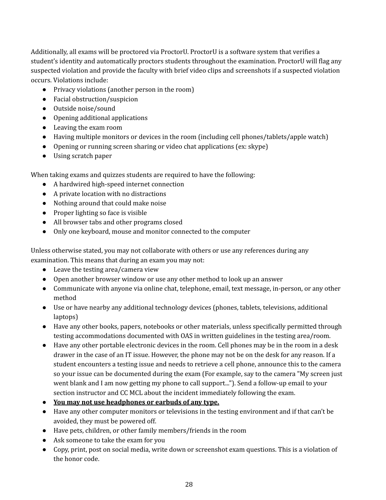Additionally, all exams will be proctored via ProctorU. ProctorU is a software system that verifies a student's identity and automatically proctors students throughout the examination. ProctorU will flag any suspected violation and provide the faculty with brief video clips and screenshots if a suspected violation occurs. Violations include:

- Privacy violations (another person in the room)
- Facial obstruction/suspicion
- Outside noise/sound
- Opening additional applications
- Leaving the exam room
- Having multiple monitors or devices in the room (including cell phones/tablets/apple watch)
- Opening or running screen sharing or video chat applications (ex: skype)
- Using scratch paper

When taking exams and quizzes students are required to have the following:

- A hardwired high-speed internet connection
- A private location with no distractions
- Nothing around that could make noise
- Proper lighting so face is visible
- All browser tabs and other programs closed
- Only one keyboard, mouse and monitor connected to the computer

 Unless otherwise stated, you may not collaborate with others or use any references during any examination. This means that during an exam you may not:

- Leave the testing area/camera view
- Open another browser window or use any other method to look up an answer
- ● Communicate with anyone via online chat, telephone, email, text message, in-person, or any other method
- ● Use or have nearby any additional technology devices (phones, tablets, televisions, additional laptops)
- ● Have any other books, papers, notebooks or other materials, unless specifically permitted through testing accommodations documented with OAS in written guidelines in the testing area/room.
- ● Have any other portable electronic devices in the room. Cell phones may be in the room in a desk drawer in the case of an IT issue. However, the phone may not be on the desk for any reason. If a student encounters a testing issue and needs to retrieve a cell phone, announce this to the camera so your issue can be documented during the exam (For example, say to the camera "My screen just went blank and I am now getting my phone to call support..."). Send a follow-up email to your section instructor and CC MCL about the incident immediately following the exam.
- **You may not use headphones or earbuds of any type.**
- ● Have any other computer monitors or televisions in the testing environment and if that can't be avoided, they must be powered off.
- Have pets, children, or other family members/friends in the room
- Ask someone to take the exam for you
- ● Copy, print, post on social media, write down or screenshot exam questions. This is a violation of the honor code.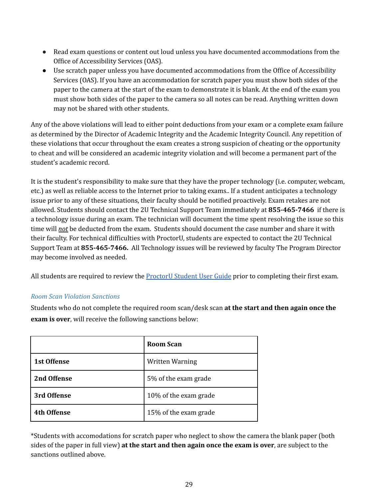- ● Read exam questions or content out loud unless you have documented accommodations from the Office of Accessibility Services (OAS).
- ● Use scratch paper unless you have documented accommodations from the Office of Accessibility Services (OAS). If you have an accommodation for scratch paper you must show both sides of the paper to the camera at the start of the exam to demonstrate it is blank. At the end of the exam you must show both sides of the paper to the camera so all notes can be read. Anything written down may not be shared with other students.

 Any of the above violations will lead to either point deductions from your exam or a complete exam failure as determined by the Director of Academic Integrity and the Academic Integrity Council. Any repetition of these violations that occur throughout the exam creates a strong suspicion of cheating or the opportunity to cheat and will be considered an academic integrity violation and will become a permanent part of the student's academic record.

 It is the student's responsibility to make sure that they have the proper technology (i.e. computer, webcam, etc.) as well as reliable access to the Internet prior to taking exams.. If a student anticipates a technology issue prior to any of these situations, their faculty should be notified proactively. Exam retakes are not allowed. Students should contact the 2U Technical Support Team immediately at **855-465-7466** if there is a technology issue during an exam. The technician will document the time spent resolving the issue so this time will *not* be deducted from the exam. Students should document the case number and share it with their faculty. For technical difficulties with ProctorU, students are expected to contact the 2U Technical Support Team at **855-465-7466.** All Technology issues will be reviewed by faculty The Program Director may become involved as needed.

All students are required to review the <u>[ProctorU](https://docs.google.com/document/d/1Wd1KPRAj-hpquGNsMYlxf3uXCGu9l1pYIOjfGwOfxbg/edit) Student User Guide</u> prior to completing their first exam.

#### <span id="page-28-0"></span> *Room Scan Violation Sanctions*

 Students who do not complete the required room scan/desk scan **at the start and then again once the exam is over**, will receive the following sanctions below:

|                    | Room Scan              |
|--------------------|------------------------|
| <b>1st Offense</b> | <b>Written Warning</b> |
| 2nd Offense        | 5% of the exam grade   |
| 3rd Offense        | 10% of the exam grade  |
| <b>4th Offense</b> | 15% of the exam grade  |

 \*Students with accomodations for scratch paper who neglect to show the camera the blank paper (both sides of the paper in full view) **at the start and then again once the exam is over**, are subject to the sanctions outlined above.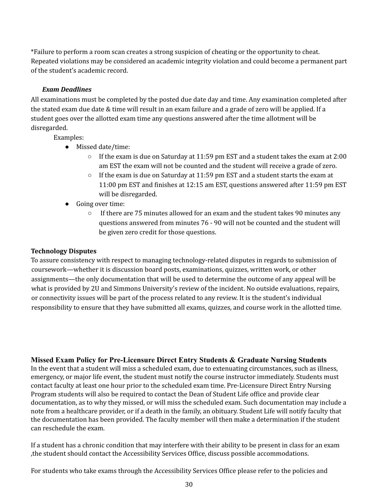\*Failure to perform a room scan creates a strong suspicion of cheating or the opportunity to cheat. Repeated violations may be considered an academic integrity violation and could become a permanent part of the student's academic record.

#### *Exam Deadlines*

<span id="page-29-0"></span> All examinations must be completed by the posted due date day and time. Any examination completed after the stated exam due date & time will result in an exam failure and a grade of zero will be applied. If a student goes over the allotted exam time any questions answered after the time allotment will be disregarded.

Examples:

- Missed date/time:
	- ○ If the exam is due on Saturday at 11:59 pm EST and a student takes the exam at 2:00 am EST the exam will not be counted and the student will receive a grade of zero.
	- ○ If the exam is due on Saturday at 11:59 pm EST and a student starts the exam at 11:00 pm EST and finishes at 12:15 am EST, questions answered after 11:59 pm EST will be disregarded.
- ● Going over time:
	- ○ If there are 75 minutes allowed for an exam and the student takes 90 minutes any questions answered from minutes 76 - 90 will not be counted and the student will be given zero credit for those questions.

#### <span id="page-29-1"></span>**Technology Disputes**

 To assure consistency with respect to managing technology-related disputes in regards to submission of coursework—whether it is discussion board posts, examinations, quizzes, written work, or other assignments—the only documentation that will be used to determine the outcome of any appeal will be what is provided by 2U and Simmons University's review of the incident. No outside evaluations, repairs, or connectivity issues will be part of the process related to any review. It is the student's individual responsibility to ensure that they have submitted all exams, quizzes, and course work in the allotted time.

#### <span id="page-29-2"></span>**Missed Exam Policy for Pre-Licensure Direct Entry Students & Graduate Nursing Students**

 In the event that a student will miss a scheduled exam, due to extenuating circumstances, such as illness, emergency, or major life event, the student must notify the course instructor immediately. Students must contact faculty at least one hour prior to the scheduled exam time. Pre-Licensure Direct Entry Nursing Program students will also be required to contact the Dean of Student Life office and provide clear documentation, as to why they missed, or will miss the scheduled exam. Such documentation may include a note from a healthcare provider, or if a death in the family, an obituary. Student Life will notify faculty that the documentation has been provided. The faculty member will then make a determination if the student can reschedule the exam.

 If a student has a chronic condition that may interfere with their ability to be present in class for an exam ,the student should contact the Accessibility Services Office, discuss possible accommodations.

For students who take exams through the Accessibility Services Office please refer to the policies and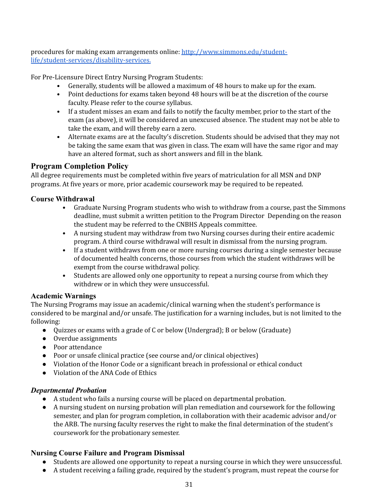procedures for making exam arrangements online: <u>http://www.simmons.edu/student-</u> [life/student-services/disability-services.](http://www.simmons.edu/student-life/student-services/disability-services)

For Pre-Licensure Direct Entry Nursing Program Students:

- Generally, students will be allowed a maximum of 48 hours to make up for the exam.
- • Point deductions for exams taken beyond 48 hours will be at the discretion of the course faculty. Please refer to the course syllabus.
- • If a student misses an exam and fails to notify the faculty member, prior to the start of the exam (as above), it will be considered an unexcused absence. The student may not be able to take the exam, and will thereby earn a zero.
- • Alternate exams are at the faculty's discretion. Students should be advised that they may not be taking the same exam that was given in class. The exam will have the same rigor and may have an altered format, such as short answers and fill in the blank.

## <span id="page-30-0"></span> **Program Completion Policy**

 All degree requirements must be completed within five years of matriculation for all MSN and DNP programs. At five years or more, prior academic coursework may be required to be repeated.

#### <span id="page-30-1"></span>**Course Withdrawal**

- • Graduate Nursing Program students who wish to withdraw from a course, past the Simmons deadline, must submit a written petition to the Program Director Depending on the reason the student may be referred to the CNBHS Appeals committee.
- • A nursing student may withdraw from two Nursing courses during their entire academic program. A third course withdrawal will result in dismissal from the nursing program.
- • If a student withdraws from one or more nursing courses during a single semester because of documented health concerns, those courses from which the student withdraws will be exempt from the course withdrawal policy.
- • Students are allowed only one opportunity to repeat a nursing course from which they withdrew or in which they were unsuccessful.

## <span id="page-30-2"></span>**Academic Warnings**

 The Nursing Programs may issue an academic/clinical warning when the student's performance is considered to be marginal and/or unsafe. The justification for a warning includes, but is not limited to the following:

- Quizzes or exams with a grade of C or below (Undergrad); B or below (Graduate)
- Overdue assignments
- Poor attendance
- Poor or unsafe clinical practice (see course and/or clinical objectives)
- Violation of the Honor Code or a significant breach in professional or ethical conduct
- Violation of the ANA Code of Ethics

#### <span id="page-30-3"></span>*Departmental Probation*

- A student who fails a nursing course will be placed on departmental probation.
- ● A nursing student on nursing probation will plan remediation and coursework for the following semester, and plan for program completion, in collaboration with their academic advisor and/or the ARB. The nursing faculty reserves the right to make the final determination of the student's coursework for the probationary semester.

## <span id="page-30-4"></span>**Nursing Course Failure and Program Dismissal**

- Students are allowed one opportunity to repeat a nursing course in which they were unsuccessful.
- A student receiving a failing grade, required by the student's program, must repeat the course for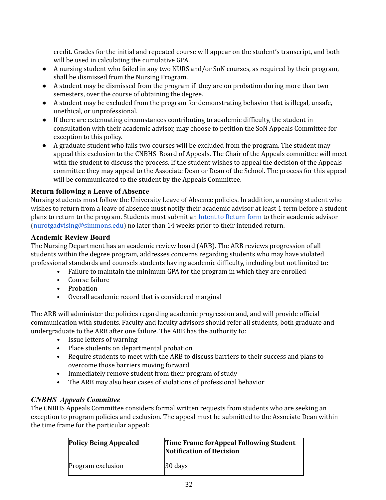credit. Grades for the initial and repeated course will appear on the student's transcript, and both will be used in calculating the cumulative GPA.

- ● A nursing student who failed in any two NURS and/or SoN courses, as required by their program, shall be dismissed from the Nursing Program.
- ● A student may be dismissed from the program if they are on probation during more than two semesters, over the course of obtaining the degree.
- ● A student may be excluded from the program for demonstrating behavior that is illegal, unsafe, unethical, or unprofessional.
- ● If there are extenuating circumstances contributing to academic difficulty, the student in consultation with their academic advisor, may choose to petition the SoN Appeals Committee for exception to this policy.
- ● A graduate student who fails two courses will be excluded from the program. The student may appeal this exclusion to the CNBHS Board of Appeals. The Chair of the Appeals committee will meet with the student to discuss the process. If the student wishes to appeal the decision of the Appeals committee they may appeal to the Associate Dean or Dean of the School. The process for this appeal will be communicated to the student by the Appeals Committee.

## <span id="page-31-0"></span>**Return following a Leave of Absence**

 Nursing students must follow the University Leave of Absence policies. In addition, a nursing student who wishes to return from a leave of absence must notify their academic advisor at least 1 term before a student plans to return to the program. Students must submit an <u>Intent to [Return](https://simmonscollege.wufoo.com/forms/z16m8xcq1brofvv/) form</u> to their academic advisor [\(nurotgadvising@simmons.edu\)](mailto:nurotgadvising@simmons.edu) no later than 14 weeks prior to their intended return.

#### <span id="page-31-1"></span>**Academic Review Board**

 The Nursing Department has an academic review board (ARB). The ARB reviews progression of all students within the degree program, addresses concerns regarding students who may have violated professional standards and counsels students having academic difficulty, including but not limited to:

- Failure to maintain the minimum GPA for the program in which they are enrolled
- Course failure
- Probation
- Overall academic record that is considered marginal

 The ARB will administer the policies regarding academic progression and, and will provide official communication with students. Faculty and faculty advisors should refer all students, both graduate and undergraduate to the ARB after one failure. The ARB has the authority to:

- Issue letters of warning
- Place students on departmental probation
- • Require students to meet with the ARB to discuss barriers to their success and plans to overcome those barriers moving forward
- Immediately remove student from their program of study
- The ARB may also hear cases of violations of professional behavior

## <span id="page-31-2"></span>*CNBHS Appeals Committee*

 The CNBHS Appeals Committee considers formal written requests from students who are seeking an exception to program policies and exclusion. The appeal must be submitted to the Associate Dean within the time frame for the particular appeal:

| <b>Policy Being Appealed</b> | Time Frame for Appeal Following Student<br>Notification of Decision |
|------------------------------|---------------------------------------------------------------------|
| Program exclusion            | $30$ days                                                           |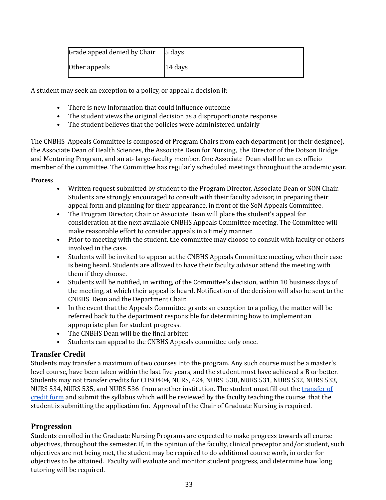| Grade appeal denied by Chair | 5 days  |
|------------------------------|---------|
| Other appeals                | 14 days |

A student may seek an exception to a policy, or appeal a decision if:

- There is new information that could influence outcome
- The student views the original decision as a disproportionate response
- The student believes that the policies were administered unfairly

 The CNBHS Appeals Committee is composed of Program Chairs from each department (or their designee), the Associate Dean of Health Sciences, the Associate Dean for Nursing, the Director of the Dotson Bridge and Mentoring Program, and an at- large-faculty member. One Associate Dean shall be an ex officio member of the committee. The Committee has regularly scheduled meetings throughout the academic year.

#### <span id="page-32-0"></span>**Process**

- • Written request submitted by student to the Program Director, Associate Dean or SON Chair. Students are strongly encouraged to consult with their faculty advisor, in preparing their appeal form and planning for their appearance, in front of the SoN Appeals Committee.
- • The Program Director, Chair or Associate Dean will place the student's appeal for consideration at the next available CNBHS Appeals Committee meeting. The Committee will make reasonable effort to consider appeals in a timely manner.
- • Prior to meeting with the student, the committee may choose to consult with faculty or others involved in the case.
- • Students will be invited to appear at the CNBHS Appeals Committee meeting, when their case is being heard. Students are allowed to have their faculty advisor attend the meeting with them if they choose.
- • Students will be notified, in writing, of the Committee's decision, within 10 business days of the meeting, at which their appeal is heard. Notification of the decision will also be sent to the CNBHS Dean and the Department Chair.
- • In the event that the Appeals Committee grants an exception to a policy, the matter will be referred back to the department responsible for determining how to implement an appropriate plan for student progress.
- The CNBHS Dean will be the final arbiter.
- Students can appeal to the CNBHS Appeals committee only once.

## <span id="page-32-1"></span>**Transfer Credit**

 Students may transfer a maximum of two courses into the program. Any such course must be a master's level course, have been taken within the last five years, and the student must have achieved a B or better. Students may not transfer credits for CHSO404, NURS, 424, NURS 530, NURS 531, NURS 532, NURS 533, NURS 534, NURS 535, and NURS 536 from another institution. The student must fill out the <u>[transfer](https://drive.google.com/file/d/1KJK5XQ51h7v2P_ShuWiLRF9Dj8ULLJH0/view) of</u> [credit](https://drive.google.com/file/d/1KJK5XQ51h7v2P_ShuWiLRF9Dj8ULLJH0/view) form and submit the syllabus which will be reviewed by the faculty teaching the course that the student is submitting the application for. Approval of the Chair of Graduate Nursing is required.

#### <span id="page-32-2"></span>**Progression**

 Students enrolled in the Graduate Nursing Programs are expected to make progress towards all course objectives, throughout the semester. If, in the opinion of the faculty, clinical preceptor and/or student, such objectives are not being met, the student may be required to do additional course work, in order for objectives to be attained. Faculty will evaluate and monitor student progress, and determine how long tutoring will be required.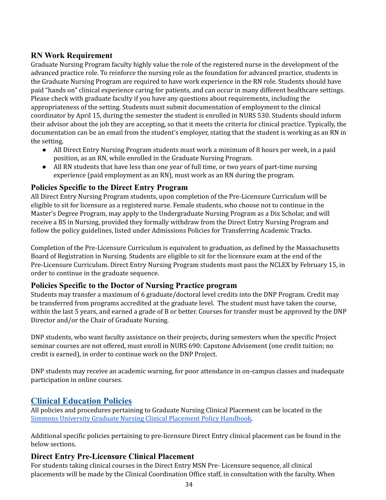# <span id="page-33-0"></span> **RN Work Requirement**

 Graduate Nursing Program faculty highly value the role of the registered nurse in the development of the advanced practice role. To reinforce the nursing role as the foundation for advanced practice, students in the Graduate Nursing Program are required to have work experience in the RN role. Students should have paid "hands on" clinical experience caring for patients, and can occur in many different healthcare settings. Please check with graduate faculty if you have any questions about requirements, including the appropriateness of the setting. Students must submit documentation of employment to the clinical coordinator by April 15, during the semester the student is enrolled in NURS 530. Students should inform their advisor about the job they are accepting, so that it meets the criteria for clinical practice. Typically, the documentation can be an email from the student's employer, stating that the student is working as an RN in the setting.

- ● All Direct Entry Nursing Program students must work a minimum of 8 hours per week, in a paid position, as an RN, while enrolled in the Graduate Nursing Program.
- experience (paid employment as an RN), must work as an RN during the program. ● All RN students that have less than one year of full time, or two years of part-time nursing

## <span id="page-33-1"></span> **Policies Specific to the Direct Entry Program**

 All Direct Entry Nursing Program students, upon completion of the Pre-Licensure Curriculum will be eligible to sit for licensure as a registered nurse. Female students, who choose not to continue in the Master's Degree Program, may apply to the Undergraduate Nursing Program as a Dix Scholar, and will receive a BS in Nursing, provided they formally withdraw from the Direct Entry Nursing Program and follow the policy guidelines, listed under Admissions Policies for Transferring Academic Tracks.

 Completion of the Pre-Licensure Curriculum is equivalent to graduation, as defined by the Massachusetts Board of Registration in Nursing. Students are eligible to sit for the licensure exam at the end of the Pre-Licensure Curriculum. Direct Entry Nursing Program students must pass the NCLEX by February 15, in order to continue in the graduate sequence.

## <span id="page-33-2"></span> **Policies Specific to the Doctor of Nursing Practice program**

 Students may transfer a maximum of 6 graduate/doctoral level credits into the DNP Program. Credit may be transferred from programs accredited at the graduate level. The student must have taken the course, within the last 5 years, and earned a grade of B or better. Courses for transfer must be approved by the DNP Director and/or the Chair of Graduate Nursing.

 DNP students, who want faculty assistance on their projects, during semesters when the specific Project seminar courses are not offered, must enroll in NURS 690: Capstone Advisement (one credit tuition; no credit is earned), in order to continue work on the DNP Project.

 DNP students may receive an academic warning, for poor attendance in on-campus classes and inadequate participation in online courses.

## <span id="page-33-3"></span> **Clinical Education Policies**

 Simmons University Graduate Nursing Clinical [Placement](https://www2.simmons.edu/documents/nursing/Nursing-at-Simmons-Clinical-Placement-Policy-Handbook.pdf) Policy Handbook. All policies and procedures pertaining to Graduate Nursing Clinical Placement can be located in the

 Additional specific policies pertaining to pre-licensure Direct Entry clinical placement can be found in the below sections.

## <span id="page-33-4"></span> **Direct Entry Pre-Licensure Clinical Placement**

 For students taking clinical courses in the Direct Entry MSN Pre- Licensure sequence, all clinical placements will be made by the Clinical Coordination Office staff, in consultation with the faculty. When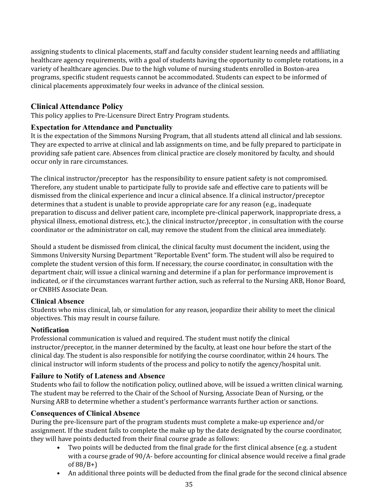assigning students to clinical placements, staff and faculty consider student learning needs and affiliating healthcare agency requirements, with a goal of students having the opportunity to complete rotations, in a variety of healthcare agencies. Due to the high volume of nursing students enrolled in Boston-area programs, specific student requests cannot be accommodated. Students can expect to be informed of clinical placements approximately four weeks in advance of the clinical session.

# <span id="page-34-0"></span> **Clinical Attendance Policy**

This policy applies to Pre-Licensure Direct Entry Program students.

#### <span id="page-34-1"></span>**Expectation for Attendance and Punctuality**

 It is the expectation of the Simmons Nursing Program, that all students attend all clinical and lab sessions. They are expected to arrive at clinical and lab assignments on time, and be fully prepared to participate in providing safe patient care. Absences from clinical practice are closely monitored by faculty, and should occur only in rare circumstances.

 The clinical instructor/preceptor has the responsibility to ensure patient safety is not compromised. Therefore, any student unable to participate fully to provide safe and effective care to patients will be dismissed from the clinical experience and incur a clinical absence. If a clinical instructor/preceptor determines that a student is unable to provide appropriate care for any reason (e.g., inadequate preparation to discuss and deliver patient care, incomplete pre-clinical paperwork, inappropriate dress, a physical illness, emotional distress, etc.), the clinical instructor/preceptor , in consultation with the course coordinator or the administrator on call, may remove the student from the clinical area immediately.

 Should a student be dismissed from clinical, the clinical faculty must document the incident, using the Simmons University Nursing Department "Reportable Event" form. The student will also be required to complete the student version of this form. If necessary, the course coordinator, in consultation with the department chair, will issue a clinical warning and determine if a plan for performance improvement is indicated, or if the circumstances warrant further action, such as referral to the Nursing ARB, Honor Board, or CNBHS Associate Dean.

#### <span id="page-34-2"></span>**Clinical Absence**

 Students who miss clinical, lab, or simulation for any reason, jeopardize their ability to meet the clinical objectives. This may result in course failure.

## <span id="page-34-3"></span>**Notification**

 Professional communication is valued and required. The student must notify the clinical instructor/preceptor, in the manner determined by the faculty, at least one hour before the start of the clinical day. The student is also responsible for notifying the course coordinator, within 24 hours. The clinical instructor will inform students of the process and policy to notify the agency/hospital unit.

## <span id="page-34-4"></span>**Failure to Notify of Lateness and Absence**

 Students who fail to follow the notification policy, outlined above, will be issued a written clinical warning. The student may be referred to the Chair of the School of Nursing, Associate Dean of Nursing, or the Nursing ARB to determine whether a student's performance warrants further action or sanctions.

## <span id="page-34-5"></span>**Consequences of Clinical Absence**

 During the pre-licensure part of the program students must complete a make-up experience and/or assignment. If the student fails to complete the make up by the date designated by the course coordinator, they will have points deducted from their final course grade as follows:

- • Two points will be deducted from the final grade for the first clinical absence (e.g. a student with a course grade of 90/A- before accounting for clinical absence would receive a final grade of 88/B+)
- An additional three points will be deducted from the final grade for the second clinical absence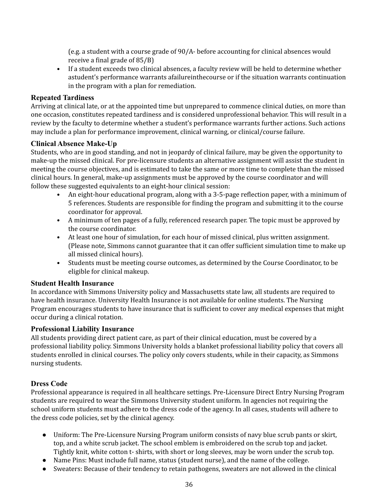(e.g. a student with a course grade of 90/A- before accounting for clinical absences would receive a final grade of 85/B)

 • If a student exceeds two clinical absences, a faculty review will be held to determine whether astudent's performance warrants afailureinthecourse or if the situation warrants continuation in the program with a plan for remediation.

#### <span id="page-35-0"></span>**Repeated Tardiness**

 Arriving at clinical late, or at the appointed time but unprepared to commence clinical duties, on more than one occasion, constitutes repeated tardiness and is considered unprofessional behavior. This will result in a review by the faculty to determine whether a student's performance warrants further actions. Such actions may include a plan for performance improvement, clinical warning, or clinical/course failure.

#### <span id="page-35-1"></span>**Clinical Absence Make-Up**

 Students, who are in good standing, and not in jeopardy of clinical failure, may be given the opportunity to make-up the missed clinical. For pre-licensure students an alternative assignment will assist the student in meeting the course objectives, and is estimated to take the same or more time to complete than the missed clinical hours. In general, make-up assignments must be approved by the course coordinator and will follow these suggested equivalents to an eight-hour clinical session:

- • An eight-hour educational program, along with a 3-5-page reflection paper, with a minimum of 5 references. Students are responsible for finding the program and submitting it to the course coordinator for approval.
- • A minimum of ten pages of a fully, referenced research paper. The topic must be approved by the course coordinator.
- • At least one hour of simulation, for each hour of missed clinical, plus written assignment. (Please note, Simmons cannot guarantee that it can offer sufficient simulation time to make up all missed clinical hours).
- • Students must be meeting course outcomes, as determined by the Course Coordinator, to be eligible for clinical makeup.

#### <span id="page-35-2"></span>**Student Health Insurance**

 In accordance with Simmons University policy and Massachusetts state law, all students are required to have health insurance. University Health Insurance is not available for online students. The Nursing Program encourages students to have insurance that is sufficient to cover any medical expenses that might occur during a clinical rotation.

#### <span id="page-35-3"></span>**Professional Liability Insurance**

 All students providing direct patient care, as part of their clinical education, must be covered by a professional liability policy. Simmons University holds a blanket professional liability policy that covers all students enrolled in clinical courses. The policy only covers students, while in their capacity, as Simmons nursing students.

#### <span id="page-35-4"></span>**Dress Code**

 Professional appearance is required in all healthcare settings. Pre-Licensure Direct Entry Nursing Program students are required to wear the Simmons University student uniform. In agencies not requiring the school uniform students must adhere to the dress code of the agency. In all cases, students will adhere to the dress code policies, set by the clinical agency.

- ● Uniform: The Pre-Licensure Nursing Program uniform consists of navy blue scrub pants or skirt, top, and a white scrub jacket. The school emblem is embroidered on the scrub top and jacket. Tightly knit, white cotton t- shirts, with short or long sleeves, may be worn under the scrub top.
- Name Pins: Must include full name, status (student nurse), and the name of the college.
- Sweaters: Because of their tendency to retain pathogens, sweaters are not allowed in the clinical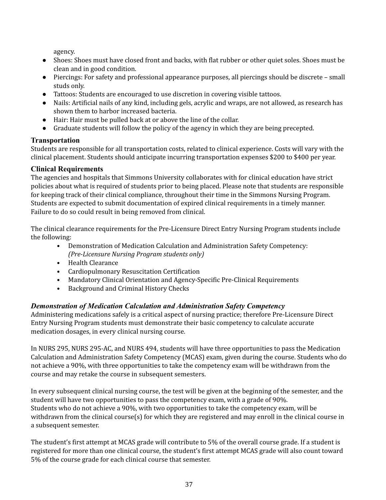agency.

- ● Shoes: Shoes must have closed front and backs, with flat rubber or other quiet soles. Shoes must be clean and in good condition.
- ● Piercings: For safety and professional appearance purposes, all piercings should be discrete small studs only.
- Tattoos: Students are encouraged to use discretion in covering visible tattoos.
- ● Nails: Artificial nails of any kind, including gels, acrylic and wraps, are not allowed, as research has shown them to harbor increased bacteria.
- Hair: Hair must be pulled back at or above the line of the collar.
- Graduate students will follow the policy of the agency in which they are being precepted.

# <span id="page-36-0"></span>**Transportation**

 Students are responsible for all transportation costs, related to clinical experience. Costs will vary with the clinical placement. Students should anticipate incurring transportation expenses \$200 to \$400 per year.

## <span id="page-36-1"></span>**Clinical Requirements**

 The agencies and hospitals that Simmons University collaborates with for clinical education have strict policies about what is required of students prior to being placed. Please note that students are responsible for keeping track of their clinical compliance, throughout their time in the Simmons Nursing Program. Students are expected to submit documentation of expired clinical requirements in a timely manner. Failure to do so could result in being removed from clinical.

 The clinical clearance requirements for the Pre-Licensure Direct Entry Nursing Program students include the following:

- • Demonstration of Medication Calculation and Administration Safety Competency:  *(Pre-Licensure Nursing Program students only)*
- Health Clearance
- Cardiopulmonary Resuscitation Certification
- Mandatory Clinical Orientation and Agency-Specific Pre-Clinical Requirements
- Background and Criminal History Checks

# <span id="page-36-2"></span>*Demonstration of Medication Calculation and Administration Safety Competency*

 Administering medications safely is a critical aspect of nursing practice; therefore Pre-Licensure Direct Entry Nursing Program students must demonstrate their basic competency to calculate accurate medication dosages, in every clinical nursing course.

 In NURS 295, NURS 295-AC, and NURS 494, students will have three opportunities to pass the Medication Calculation and Administration Safety Competency (MCAS) exam, given during the course. Students who do not achieve a 90%, with three opportunities to take the competency exam will be withdrawn from the course and may retake the course in subsequent semesters.

 In every subsequent clinical nursing course, the test will be given at the beginning of the semester, and the student will have two opportunities to pass the competency exam, with a grade of 90%. Students who do not achieve a 90%, with two opportunities to take the competency exam, will be withdrawn from the clinical course(s) for which they are registered and may enroll in the clinical course in a subsequent semester.

 The student's first attempt at MCAS grade will contribute to 5% of the overall course grade. If a student is registered for more than one clinical course, the student's first attempt MCAS grade will also count toward 5% of the course grade for each clinical course that semester.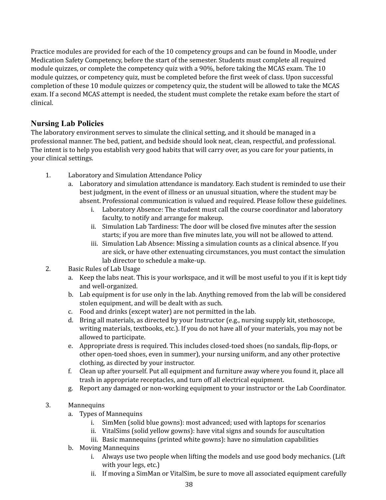Practice modules are provided for each of the 10 competency groups and can be found in Moodle, under Medication Safety Competency, before the start of the semester. Students must complete all required module quizzes, or complete the competency quiz with a 90%, before taking the MCAS exam. The 10 module quizzes, or competency quiz, must be completed before the first week of class. Upon successful completion of these 10 module quizzes or competency quiz, the student will be allowed to take the MCAS exam. If a second MCAS attempt is needed, the student must complete the retake exam before the start of clinical.

## <span id="page-37-0"></span> **Nursing Lab Policies**

 The laboratory environment serves to simulate the clinical setting, and it should be managed in a professional manner. The bed, patient, and bedside should look neat, clean, respectful, and professional. The intent is to help you establish very good habits that will carry over, as you care for your patients, in your clinical settings.

- 1. Laboratory and Simulation Attendance Policy
	- a. Laboratory and simulation attendance is mandatory. Each student is reminded to use their best judgment, in the event of illness or an unusual situation, where the student may be absent. Professional communication is valued and required. Please follow these guidelines.
		- i. Laboratory Absence: The student must call the course coordinator and laboratory faculty, to notify and arrange for makeup.
		- ii. Simulation Lab Tardiness: The door will be closed five minutes after the session starts; if you are more than five minutes late, you will not be allowed to attend.
		- are sick, or have other extenuating circumstances, you must contact the simulation lab director to schedule a make-up. iii. Simulation Lab Absence: Missing a simulation counts as a clinical absence. If you
- 2. Basic Rules of Lab Usage
	- a. Keep the labs neat. This is your workspace, and it will be most useful to you if it is kept tidy and well-organized.
	- b. Lab equipment is for use only in the lab. Anything removed from the lab will be considered stolen equipment, and will be dealt with as such.
	- c. Food and drinks (except water) are not permitted in the lab.
	- d. Bring all materials, as directed by your Instructor (e.g., nursing supply kit, stethoscope, writing materials, textbooks, etc.). If you do not have all of your materials, you may not be allowed to participate.
	- e. Appropriate dress is required. This includes closed-toed shoes (no sandals, flip-flops, or other open-toed shoes, even in summer), your nursing uniform, and any other protective clothing, as directed by your instructor.
	- f. Clean up after yourself. Put all equipment and furniture away where you found it, place all trash in appropriate receptacles, and turn off all electrical equipment.
	- g. Report any damaged or non-working equipment to your instructor or the Lab Coordinator.

## 3. Mannequins

- a. Types of Mannequins
	- i. SimMen (solid blue gowns): most advanced; used with laptops for scenarios
	- ii. VitalSims (solid yellow gowns): have vital signs and sounds for auscultation
	- iii. Basic mannequins (printed white gowns): have no simulation capabilities
- b. Moving Mannequins
	- i. Always use two people when lifting the models and use good body mechanics. (Lift with your legs, etc.)
	- ii. If moving a SimMan or VitalSim, be sure to move all associated equipment carefully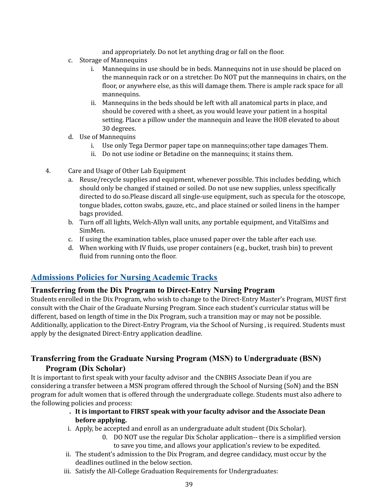and appropriately. Do not let anything drag or fall on the floor.

- c. Storage of Mannequins
	- i. Mannequins in use should be in beds. Mannequins not in use should be placed on the mannequin rack or on a stretcher. Do NOT put the mannequins in chairs, on the floor, or anywhere else, as this will damage them. There is ample rack space for all mannequins.
	- ii. Mannequins in the beds should be left with all anatomical parts in place, and should be covered with a sheet, as you would leave your patient in a hospital setting. Place a pillow under the mannequin and leave the HOB elevated to about 30 degrees.
- d. Use of Mannequins
	- i. Use only Tega Dermor paper tape on mannequins;other tape damages Them.
	- ii. Do not use iodine or Betadine on the mannequins; it stains them.
- 4. Care and Usage of Other Lab Equipment
	- a. Reuse/recycle supplies and equipment, whenever possible. This includes bedding, which should only be changed if stained or soiled. Do not use new supplies, unless specifically directed to do so.Please discard all single-use equipment, such as specula for the otoscope, tongue blades, cotton swabs, gauze, etc., and place stained or soiled linens in the hamper bags provided.
	- b. Turn off all lights, Welch-Allyn wall units, any portable equipment, and VitalSims and SimMen.
	- c. If using the examination tables, place unused paper over the table after each use.
	- d. When working with IV fluids, use proper containers (e.g., bucket, trash bin) to prevent fluid from running onto the floor.

# <span id="page-38-0"></span> **Admissions Policies for Nursing Academic Tracks**

## <span id="page-38-1"></span> **Transferring from the Dix Program to Direct-Entry Nursing Program**

 Students enrolled in the Dix Program, who wish to change to the Direct-Entry Master's Program, MUST first consult with the Chair of the Graduate Nursing Program. Since each student's curricular status will be different, based on length of time in the Dix Program, such a transition may or may not be possible. Additionally, application to the Direct-Entry Program, via the School of Nursing , is required. Students must apply by the designated Direct-Entry application deadline.

# <span id="page-38-2"></span> **Transferring from the Graduate Nursing Program (MSN) to Undergraduate (BSN) Program (Dix Scholar)**

 It is important to first speak with your faculty advisor and the CNBHS Associate Dean if you are considering a transfer between a MSN program offered through the School of Nursing (SoN) and the BSN program for adult women that is offered through the undergraduate college. Students must also adhere to the following policies and process:

#### **. It is important to FIRST speak with your faculty advisor and the Associate Dean before applying.**

- i. Apply, be accepted and enroll as an undergraduate adult student (Dix Scholar).
	- 0. DO NOT use the regular Dix Scholar application-- there is a simplified version to save you time, and allows your application's review to be expedited.
- ii. The student's admission to the Dix Program, and degree candidacy, must occur by the deadlines outlined in the below section.
- iii. Satisfy the All-College Graduation Requirements for Undergraduates: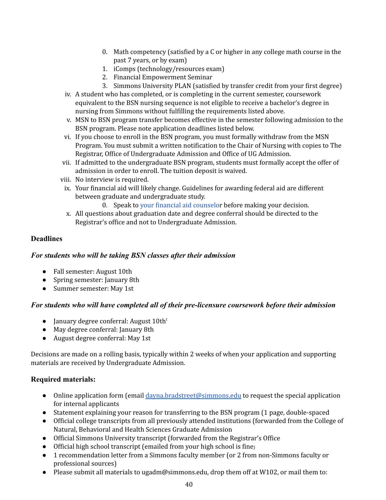- 0. Math competency (satisfied by a C or higher in any college math course in the past 7 years, or by exam)
- 1. iComps (technology/resources exam)
- 2. Financial Empowerment Seminar
- 3. Simmons University PLAN (satisfied by transfer credit from your first degree)
- iv. A student who has completed, or is completing in the current semester, coursework equivalent to the BSN nursing sequence is not eligible to receive a bachelor's degree in nursing from Simmons without fulfilling the requirements listed above.
- v. MSN to BSN program transfer becomes effective in the semester following admission to the BSN program. Please note application deadlines listed below.
- vi. If you choose to enroll in the BSN program, you must formally withdraw from the MSN Program. You must submit a written notification to the Chair of Nursing with copies to The Registrar, Office of Undergraduate Admission and Office of UG Admission.
- vii. If admitted to the undergraduate BSN program, students must formally accept the offer of admission in order to enroll. The tuition deposit is waived.
- viii. No interview is required.
- ix. Your financial aid will likely change. Guidelines for awarding federal aid are different between graduate and undergraduate study.
	- 0. Speak to your financial aid [counselo](https://www.simmons.edu/undergraduate/admission-and-financial-aid/tuition-financial-aid/contact-us)r before making your decision.
- x. All questions about graduation date and degree conferral should be directed to the Registrar's office and not to Undergraduate Admission.

#### <span id="page-39-0"></span>**Deadlines**

#### <span id="page-39-1"></span>*For students who will be taking BSN classes after their admission*

- Fall semester: August 10th
- Spring semester: January 8th
- Summer semester: May 1st

#### <span id="page-39-2"></span>*For students who will have completed all of their pre-licensure coursework before their admission*

- January degree conferral: August 10th<sup>t</sup>
- May degree conferral: January 8th
- August degree conferral: May 1st

 Decisions are made on a rolling basis, typically within 2 weeks of when your application and supporting materials are received by Undergraduate Admission.

#### <span id="page-39-3"></span>**Required materials:**

- Online application form (email [dayna.bradstreet@simmons.edu](mailto:dayna.bradstreet@simmons.edu) to request the special application for internal applicants
- Statement explaining your reason for transferring to the BSN program (1 page, double-spaced
- ● Official college transcripts from all previously attended institutions (forwarded from the College of Natural, Behavioral and Health Sciences Graduate Admission
- Official Simmons University transcript (forwarded from the Registrar's Office
- Official high school transcript (emailed from your high school is fine)
- ● 1 recommendation letter from a Simmons faculty member (or 2 from non-Simmons faculty or professional sources)
- Please submit all materials to [ugadm@simmons.edu](mailto:ugadm@simmons.edu), drop them off at W102, or mail them to: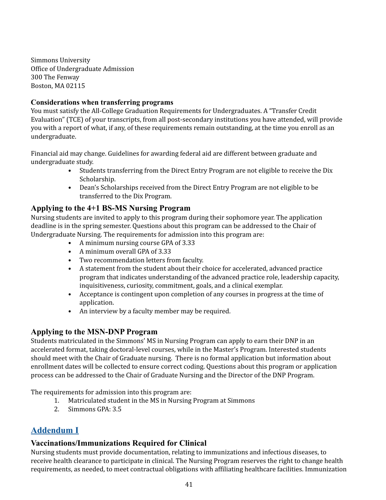Office of Undergraduate Admission 300 The Fenway Boston, MA 02115 Simmons University

#### <span id="page-40-0"></span>**Considerations when transferring programs**

 You must satisfy the All-College Graduation Requirements for Undergraduates. A "Transfer Credit Evaluation" (TCE) of your transcripts, from all post-secondary institutions you have attended, will provide you with a report of what, if any, of these requirements remain outstanding, at the time you enroll as an undergraduate.

 Financial aid may change. Guidelines for awarding federal aid are different between graduate and undergraduate study.

- • Students transferring from the Direct Entry Program are not eligible to receive the Dix Scholarship.
- • Dean's Scholarships received from the Direct Entry Program are not eligible to be transferred to the Dix Program.

## <span id="page-40-1"></span> **Applying to the 4+1 BS-MS Nursing Program**

 Nursing students are invited to apply to this program during their sophomore year. The application deadline is in the spring semester. Questions about this program can be addressed to the Chair of Undergraduate Nursing. The requirements for admission into this program are:

- A minimum nursing course GPA of 3.33
- A minimum overall GPA of 3.33
- Two recommendation letters from faculty.
- • A statement from the student about their choice for accelerated, advanced practice program that indicates understanding of the advanced practice role, leadership capacity, inquisitiveness, curiosity, commitment, goals, and a clinical exemplar.
- • Acceptance is contingent upon completion of any courses in progress at the time of application.
- An interview by a faculty member may be required.

## <span id="page-40-2"></span> **Applying to the MSN-DNP Program**

 Students matriculated in the Simmons' MS in Nursing Program can apply to earn their DNP in an accelerated format, taking doctoral-level courses, while in the Master's Program. Interested students should meet with the Chair of Graduate nursing. There is no formal application but information about enrollment dates will be collected to ensure correct coding. Questions about this program or application process can be addressed to the Chair of Graduate Nursing and the Director of the DNP Program.

The requirements for admission into this program are:

- 1. Matriculated student in the MS in Nursing Program at Simmons
- 2. Simmons GPA: 3.5

# <span id="page-40-3"></span>**Addendum I**

## <span id="page-40-4"></span> **Vaccinations/Immunizations Required for Clinical**

 Nursing students must provide documentation, relating to immunizations and infectious diseases, to receive health clearance to participate in clinical. The Nursing Program reserves the right to change health requirements, as needed, to meet contractual obligations with affiliating healthcare facilities. Immunization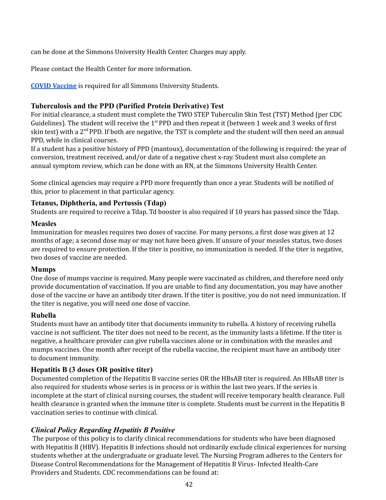can be done at the Simmons University Health Center. Charges may apply.

Please contact the Health Center for more information.

**COVID [Vaccine](https://www.simmons.edu/your-simmons/student-support-resources/health-center/covid19-ma-vaccination-info)** is required for all Simmons University Students.

## <span id="page-41-0"></span>**Tuberculosis and the PPD (Purified Protein Derivative) Test**

 For initial clearance, a student must complete the TWO STEP Tuberculin Skin Test (TST) Method (per CDC Guidelines). The student will receive the 1<sup>st</sup> PPD and then repeat it (between 1 week and 3 weeks of first skin test) with a 2<sup>nd</sup> PPD. If both are negative, the TST is complete and the student will then need an annual PPD, while in clinical courses.

 If a student has a positive history of PPD (mantoux), documentation of the following is required: the year of conversion, treatment received, and/or date of a negative chest x-ray. Student must also complete an annual symptom review, which can be done with an RN, at the Simmons University Health Center.

 Some clinical agencies may require a PPD more frequently than once a year. Students will be notified of this, prior to placement in that particular agency.

## <span id="page-41-1"></span>**Tetanus, Diphtheria, and Pertussis (Tdap)**

Students are required to receive a Tdap. Td booster is also required if 10 years has passed since the Tdap.

#### <span id="page-41-2"></span>**Measles**

 Immunization for measles requires two doses of vaccine. For many persons, a first dose was given at 12 months of age; a second dose may or may not have been given. If unsure of your measles status, two doses are required to ensure protection. If the titer is positive, no immunization is needed. If the titer is negative, two doses of vaccine are needed.

## <span id="page-41-3"></span>**Mumps**

 One dose of mumps vaccine is required. Many people were vaccinated as children, and therefore need only provide documentation of vaccination. If you are unable to find any documentation, you may have another dose of the vaccine or have an antibody titer drawn. If the titer is positive, you do not need immunization. If the titer is negative, you will need one dose of vaccine.

## <span id="page-41-4"></span>**Rubella**

 Students must have an antibody titer that documents immunity to rubella. A history of receiving rubella vaccine is not sufficient. The titer does not need to be recent, as the immunity lasts a lifetime. If the titer is negative, a healthcare provider can give rubella vaccines alone or in combination with the measles and mumps vaccines. One month after receipt of the rubella vaccine, the recipient must have an antibody titer to document immunity.

## <span id="page-41-5"></span>**Hepatitis B (3 doses OR positive titer)**

 Documented completion of the Hepatitis B vaccine series OR the HBsAB titer is required. An HBsAB titer is also required for students whose series is in process or is within the last two years. If the series is incomplete at the start of clinical nursing courses, the student will receive temporary health clearance. Full health clearance is granted when the immune titer is complete. Students must be current in the Hepatitis B vaccination series to continue with clinical.

## <span id="page-41-6"></span>*Clinical Policy Regarding Hepatitis B Positive*

 The purpose of this policy is to clarify clinical recommendations for students who have been diagnosed with Hepatitis B (HBV). Hepatitis B infections should not ordinarily exclude clinical experiences for nursing students whether at the undergraduate or graduate level. The Nursing Program adheres to the Centers for Disease Control Recommendations for the Management of Hepatitis B Virus- Infected Health-Care Providers and Students. CDC recommendations can be found at: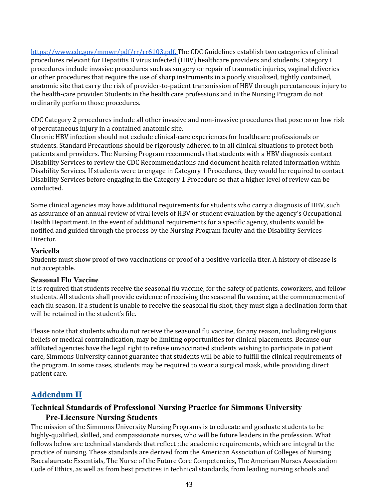[https://www.cdc.gov/mmwr/pdf/rr/rr6103.pdf.](https://www.cdc.gov/mmwr/pdf/rr/rr6103.pdf) The CDC Guidelines establish two categories of clinical procedures relevant for Hepatitis B virus infected (HBV) healthcare providers and students. Category I or other procedures that require the use of sharp instruments in a poorly visualized, tightly contained, anatomic site that carry the risk of provider-to-patient transmission of HBV through percutaneous injury to the health-care provider. Students in the health care professions and in the Nursing Program do not ordinarily perform those procedures. procedures include invasive procedures such as surgery or repair of traumatic injuries, vaginal deliveries

 CDC Category 2 procedures include all other invasive and non-invasive procedures that pose no or low risk of percutaneous injury in a contained anatomic site.

 Chronic HBV infection should not exclude clinical-care experiences for healthcare professionals or students. Standard Precautions should be rigorously adhered to in all clinical situations to protect both patients and providers. The Nursing Program recommends that students with a HBV diagnosis contact Disability Services to review the CDC Recommendations and document health related information within Disability Services. If students were to engage in Category 1 Procedures, they would be required to contact Disability Services before engaging in the Category 1 Procedure so that a higher level of review can be conducted.

 Some clinical agencies may have additional requirements for students who carry a diagnosis of HBV, such as assurance of an annual review of viral levels of HBV or student evaluation by the agency's Occupational Health Department. In the event of additional requirements for a specific agency, students would be notified and guided through the process by the Nursing Program faculty and the Disability Services Director.

#### <span id="page-42-0"></span>**Varicella**

 Students must show proof of two vaccinations or proof of a positive varicella titer. A history of disease is not acceptable.

#### <span id="page-42-1"></span>**Seasonal Flu Vaccine**

 It is required that students receive the seasonal flu vaccine, for the safety of patients, coworkers, and fellow students. All students shall provide evidence of receiving the seasonal flu vaccine, at the commencement of each flu season. If a student is unable to receive the seasonal flu shot, they must sign a declination form that will be retained in the student's file.

 Please note that students who do not receive the seasonal flu vaccine, for any reason, including religious beliefs or medical contraindication, may be limiting opportunities for clinical placements. Because our affiliated agencies have the legal right to refuse unvaccinated students wishing to participate in patient care, Simmons University cannot guarantee that students will be able to fulfill the clinical requirements of the program. In some cases, students may be required to wear a surgical mask, while providing direct patient care.

# <span id="page-42-2"></span>**Addendum II**

# <span id="page-42-3"></span> **Technical Standards of Professional Nursing Practice for Simmons University Pre-Licensure Nursing Students**

 The mission of the Simmons University Nursing Programs is to educate and graduate students to be highly-qualified, skilled, and compassionate nurses, who will be future leaders in the profession. What follows below are technical standards that reflect ;the academic requirements, which are integral to the practice of nursing. These standards are derived from the American Association of Colleges of Nursing Baccalaureate Essentials, The Nurse of the Future Core Competencies, The American Nurses Association Code of Ethics, as well as from best practices in technical standards, from leading nursing schools and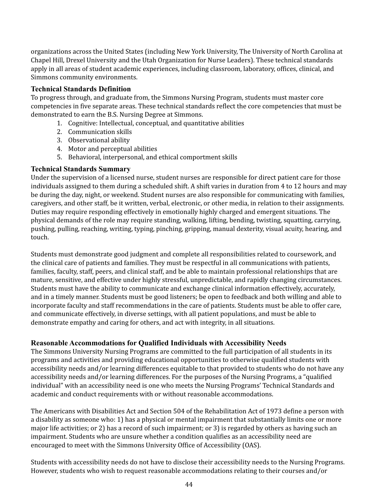organizations across the United States (including New York University, The University of North Carolina at Chapel Hill, Drexel University and the Utah Organization for Nurse Leaders). These technical standards apply in all areas of student academic experiences, including classroom, laboratory, offices, clinical, and Simmons community environments.

#### <span id="page-43-0"></span>**Technical Standards Definition**

 To progress through, and graduate from, the Simmons Nursing Program, students must master core competencies in five separate areas. These technical standards reflect the core competencies that must be demonstrated to earn the B.S. Nursing Degree at Simmons.

- 1. Cognitive: Intellectual, conceptual, and quantitative abilities
- 2. Communication skills
- 3. Observational ability
- 4. Motor and perceptual abilities
- 5. Behavioral, interpersonal, and ethical comportment skills

#### <span id="page-43-1"></span>**Technical Standards Summary**

 Under the supervision of a licensed nurse, student nurses are responsible for direct patient care for those individuals assigned to them during a scheduled shift. A shift varies in duration from 4 to 12 hours and may be during the day, night, or weekend. Student nurses are also responsible for communicating with families, caregivers, and other staff, be it written, verbal, electronic, or other media, in relation to their assignments. Duties may require responding effectively in emotionally highly charged and emergent situations. The physical demands of the role may require standing, walking, lifting, bending, twisting, squatting, carrying, pushing, pulling, reaching, writing, typing, pinching, gripping, manual dexterity, visual acuity, hearing, and touch.

 Students must demonstrate good judgment and complete all responsibilities related to coursework, and the clinical care of patients and families. They must be respectful in all communications with patients, families, faculty, staff, peers, and clinical staff, and be able to maintain professional relationships that are mature, sensitive, and effective under highly stressful, unpredictable, and rapidly changing circumstances. Students must have the ability to communicate and exchange clinical information effectively, accurately, and in a timely manner. Students must be good listeners; be open to feedback and both willing and able to incorporate faculty and staff recommendations in the care of patients. Students must be able to offer care, and communicate effectively, in diverse settings, with all patient populations, and must be able to demonstrate empathy and caring for others, and act with integrity, in all situations.

#### <span id="page-43-2"></span>**Reasonable Accommodations for Qualified Individuals with Accessibility Needs**

 The Simmons University Nursing Programs are committed to the full participation of all students in its programs and activities and providing educational opportunities to otherwise qualified students with accessibility needs and/or learning differences equitable to that provided to students who do not have any accessibility needs and/or learning differences. For the purposes of the Nursing Programs, a "qualified individual" with an accessibility need is one who meets the Nursing Programs' Technical Standards and academic and conduct requirements with or without reasonable accommodations.

 The Americans with Disabilities Act and Section 504 of the Rehabilitation Act of 1973 define a person with a disability as someone who: 1) has a physical or mental impairment that substantially limits one or more major life activities; or 2) has a record of such impairment; or 3) is regarded by others as having such an impairment. Students who are unsure whether a condition qualifies as an accessibility need are encouraged to meet with the Simmons University Office of Accessibility (OAS).

 Students with accessibility needs do not have to disclose their accessibility needs to the Nursing Programs. However, students who wish to request reasonable accommodations relating to their courses and/or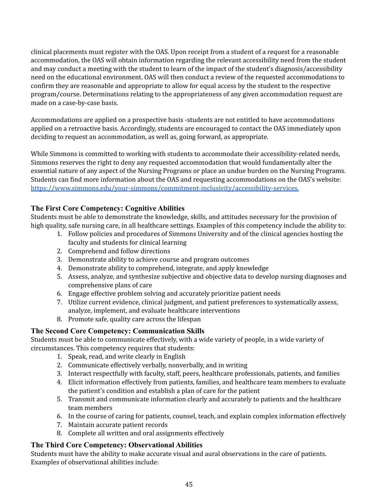clinical placements must register with the OAS. Upon receipt from a student of a request for a reasonable accommodation, the OAS will obtain information regarding the relevant accessibility need from the student and may conduct a meeting with the student to learn of the impact of the student's diagnosis/accessibility need on the educational environment. OAS will then conduct a review of the requested accommodations to confirm they are reasonable and appropriate to allow for equal access by the student to the respective program/course. Determinations relating to the appropriateness of any given accommodation request are made on a case-by-case basis.

 Accommodations are applied on a prospective basis -students are not entitled to have accommodations applied on a retroactive basis. Accordingly, students are encouraged to contact the OAS immediately upon deciding to request an accommodation, as well as, going forward, as appropriate.

 While Simmons is committed to working with students to accommodate their accessibility-related needs, Simmons reserves the right to deny any requested accommodation that would fundamentally alter the essential nature of any aspect of the Nursing Programs or place an undue burden on the Nursing Programs. Students can find more information about the OAS and requesting accommodations on the OAS's website: <https://www.simmons.edu/your-simmons/commitment-inclusivity/accessibility-services.>

## <span id="page-44-0"></span>**The First Core Competency: Cognitive Abilities**

 Students must be able to demonstrate the knowledge, skills, and attitudes necessary for the provision of high quality, safe nursing care, in all healthcare settings. Examples of this competency include the ability to:

- 1. Follow policies and procedures of Simmons University and of the clinical agencies hosting the faculty and students for clinical learning
- 2. Comprehend and follow directions
- 3. Demonstrate ability to achieve course and program outcomes
- 4. Demonstrate ability to comprehend, integrate, and apply knowledge
- 5. Assess, analyze, and synthesize subjective and objective data to develop nursing diagnoses and comprehensive plans of care
- 6. Engage effective problem solving and accurately prioritize patient needs
- 7. Utilize current evidence, clinical judgment, and patient preferences to systematically assess, analyze, implement, and evaluate healthcare interventions
- 8. Promote safe, quality care across the lifespan

## <span id="page-44-1"></span>**The Second Core Competency: Communication Skills**

 Students must be able to communicate effectively, with a wide variety of people, in a wide variety of circumstances. This competency requires that students:

- 1. Speak, read, and write clearly in English
- 2. Communicate effectively verbally, nonverbally, and in writing
- 3. Interact respectfully with faculty, staff, peers, healthcare professionals, patients, and families
- 4. Elicit information effectively from patients, families, and healthcare team members to evaluate the patient's condition and establish a plan of care for the patient
- 5. Transmit and communicate information clearly and accurately to patients and the healthcare team members
- 6. In the course of caring for patients, counsel, teach, and explain complex information effectively
- 7. Maintain accurate patient records
- 8. Complete all written and oral assignments effectively

## <span id="page-44-2"></span>**The Third Core Competency: Observational Abilities**

 Students must have the ability to make accurate visual and aural observations in the care of patients. Examples of observational abilities include: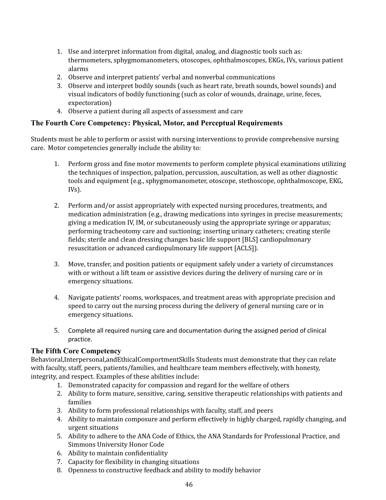- 1. Use and interpret information from digital, analog, and diagnostic tools such as: thermometers, sphygmomanometers, otoscopes, ophthalmoscopes, EKGs, IVs, various patient alarms
- 2. Observe and interpret patients' verbal and nonverbal communications
- 3. Observe and interpret bodily sounds (such as heart rate, breath sounds, bowel sounds) and visual indicators of bodily functioning (such as color of wounds, drainage, urine, feces, expectoration)
- 4. Observe a patient during all aspects of assessment and care

#### <span id="page-45-0"></span>**The Fourth Core Competency: Physical, Motor, and Perceptual Requirements**

 Students must be able to perform or assist with nursing interventions to provide comprehensive nursing care. Motor competencies generally include the ability to:

- 1. Perform gross and fine motor movements to perform complete physical examinations utilizing the techniques of inspection, palpation, percussion, auscultation, as well as other diagnostic tools and equipment (e.g., sphygmomanometer, otoscope, stethoscope, ophthalmoscope, EKG, IVs).
- 2. Perform and/or assist appropriately with expected nursing procedures, treatments, and medication administration (e.g., drawing medications into syringes in precise measurements; giving a medication IV, IM, or subcutaneously using the appropriate syringe or apparatus; performing tracheotomy care and suctioning; inserting urinary catheters; creating sterile fields; sterile and clean dressing changes basic life support [BLS] cardiopulmonary resuscitation or advanced cardiopulmonary life support [ACLS]).
- 3. Move, transfer, and position patients or equipment safely under a variety of circumstances with or without a lift team or assistive devices during the delivery of nursing care or in emergency situations.
- 4. Navigate patients' rooms, workspaces, and treatment areas with appropriate precision and speed to carry out the nursing process during the delivery of general nursing care or in emergency situations.
- 5. Complete all required nursing care and documentation during the assigned period of clinical practice.

#### <span id="page-45-1"></span>**The Fifth Core Competency**

 Behavioral,Interpersonal,andEthicalComportmentSkills Students must demonstrate that they can relate with faculty, staff, peers, patients/families, and healthcare team members effectively, with honesty, integrity, and respect. Examples of these abilities include:

- 1. Demonstrated capacity for compassion and regard for the welfare of others
- 2. Ability to form mature, sensitive, caring, sensitive therapeutic relationships with patients and families
- 3. Ability to form professional relationships with faculty, staff, and peers
- 4. Ability to maintain composure and perform effectively in highly charged, rapidly changing, and urgent situations
- 5. Ability to adhere to the ANA Code of Ethics, the ANA Standards for Professional Practice, and Simmons University Honor Code
- 6. Ability to maintain confidentiality
- 7. Capacity for flexibility in changing situations
- 8. Openness to constructive feedback and ability to modify behavior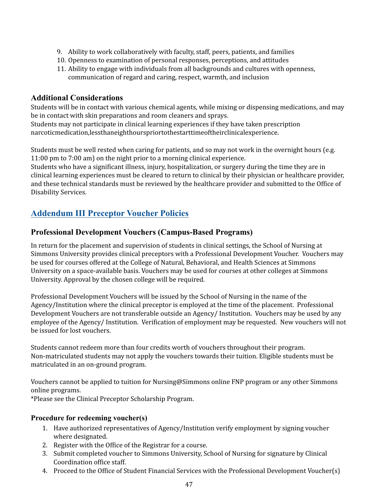- 9. Ability to work collaboratively with faculty, staff, peers, patients, and families
- 10. Openness to examination of personal responses, perceptions, and attitudes
- 11. Ability to engage with individuals from all backgrounds and cultures with openness, communication of regard and caring, respect, warmth, and inclusion

## <span id="page-46-0"></span>**Additional Considerations**

 Students will be in contact with various chemical agents, while mixing or dispensing medications, and may be in contact with skin preparations and room cleaners and sprays.

 Students may not participate in clinical learning experiences if they have taken prescription narcoticmedication,lessthaneighthourspriortothestarttimeoftheirclinicalexperience.

 Students must be well rested when caring for patients, and so may not work in the overnight hours (e.g. 11:00 pm to 7:00 am) on the night prior to a morning clinical experience.

 Students who have a significant illness, injury, hospitalization, or surgery during the time they are in clinical learning experiences must be cleared to return to clinical by their physician or healthcare provider, and these technical standards must be reviewed by the healthcare provider and submitted to the Office of Disability Services.

# <span id="page-46-2"></span><span id="page-46-1"></span> **Addendum III Preceptor Voucher Policies**

# **Professional Development Vouchers (Campus-Based Programs)**

 In return for the placement and supervision of students in clinical settings, the School of Nursing at Simmons University provides clinical preceptors with a Professional Development Voucher. Vouchers may be used for courses offered at the College of Natural, Behavioral, and Health Sciences at Simmons University on a space-available basis. Vouchers may be used for courses at other colleges at Simmons University. Approval by the chosen college will be required.

 Professional Development Vouchers will be issued by the School of Nursing in the name of the Agency/Institution where the clinical preceptor is employed at the time of the placement. Professional Development Vouchers are not transferable outside an Agency/ Institution. Vouchers may be used by any employee of the Agency/ Institution. Verification of employment may be requested. New vouchers will not be issued for lost vouchers.

 Students cannot redeem more than four credits worth of vouchers throughout their program. Non-matriculated students may not apply the vouchers towards their tuition. Eligible students must be matriculated in an on-ground program.

 Vouchers cannot be applied to tuition for Nursing@Simmons online FNP program or any other Simmons online programs.

\*Please see the Clinical Preceptor Scholarship Program.

## <span id="page-46-3"></span>**Procedure for redeeming voucher(s)**

- 1. Have authorized representatives of Agency/Institution verify employment by signing voucher where designated.
- 2. Register with the Office of the Registrar for a course.
- 3. Submit completed voucher to Simmons University, School of Nursing for signature by Clinical Coordination office staff.
- 4. Proceed to the Office of Student Financial Services with the Professional Development Voucher(s)